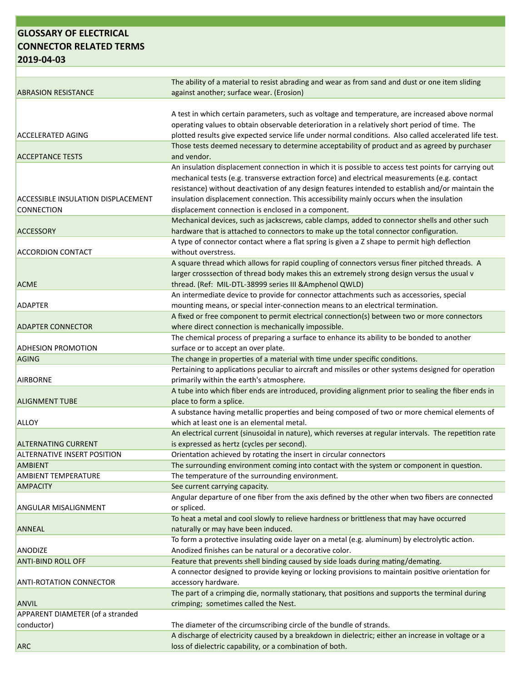## **GLOSSARY OF ELECTRICAL CONNECTOR RELATED TERMS 2019‐04‐03**

| <b>ABRASION RESISTANCE</b>                | The ability of a material to resist abrading and wear as from sand and dust or one item sliding                                       |
|-------------------------------------------|---------------------------------------------------------------------------------------------------------------------------------------|
|                                           | against another; surface wear. (Erosion)                                                                                              |
|                                           | A test in which certain parameters, such as voltage and temperature, are increased above normal                                       |
|                                           | operating values to obtain observable deterioration in a relatively short period of time. The                                         |
| <b>ACCELERATED AGING</b>                  | plotted results give expected service life under normal conditions. Also called accelerated life test.                                |
|                                           | Those tests deemed necessary to determine acceptability of product and as agreed by purchaser                                         |
| <b>ACCEPTANCE TESTS</b>                   | and vendor.                                                                                                                           |
|                                           | An insulation displacement connection in which it is possible to access test points for carrying out                                  |
|                                           | mechanical tests (e.g. transverse extraction force) and electrical measurements (e.g. contact                                         |
|                                           | resistance) without deactivation of any design features intended to establish and/or maintain the                                     |
| <b>ACCESSIBLE INSULATION DISPLACEMENT</b> | insulation displacement connection. This accessibility mainly occurs when the insulation                                              |
| <b>CONNECTION</b>                         | displacement connection is enclosed in a component.                                                                                   |
|                                           | Mechanical devices, such as jackscrews, cable clamps, added to connector shells and other such                                        |
| <b>ACCESSORY</b>                          | hardware that is attached to connectors to make up the total connector configuration.                                                 |
|                                           | A type of connector contact where a flat spring is given a Z shape to permit high deflection                                          |
| <b>ACCORDION CONTACT</b>                  | without overstress.                                                                                                                   |
|                                           | A square thread which allows for rapid coupling of connectors versus finer pitched threads. A                                         |
|                                           | larger crosssection of thread body makes this an extremely strong design versus the usual v                                           |
| <b>ACME</b>                               | thread. (Ref: MIL-DTL-38999 series III & Amphenol QWLD)                                                                               |
|                                           | An intermediate device to provide for connector attachments such as accessories, special                                              |
| <b>ADAPTER</b>                            | mounting means, or special inter-connection means to an electrical termination.                                                       |
|                                           | A fixed or free component to permit electrical connection(s) between two or more connectors                                           |
| <b>ADAPTER CONNECTOR</b>                  | where direct connection is mechanically impossible.                                                                                   |
|                                           | The chemical process of preparing a surface to enhance its ability to be bonded to another                                            |
| <b>ADHESION PROMOTION</b>                 | surface or to accept an over plate.                                                                                                   |
| <b>AGING</b>                              | The change in properties of a material with time under specific conditions.                                                           |
|                                           | Pertaining to applications peculiar to aircraft and missiles or other systems designed for operation                                  |
| <b>AIRBORNE</b>                           | primarily within the earth's atmosphere.                                                                                              |
|                                           | A tube into which fiber ends are introduced, providing alignment prior to sealing the fiber ends in                                   |
| <b>ALIGNMENT TUBE</b>                     | place to form a splice.                                                                                                               |
|                                           | A substance having metallic properties and being composed of two or more chemical elements of                                         |
| <b>ALLOY</b>                              | which at least one is an elemental metal.                                                                                             |
|                                           | An electrical current (sinusoidal in nature), which reverses at regular intervals. The repetition rate                                |
| <b>ALTERNATING CURRENT</b>                | is expressed as hertz (cycles per second).                                                                                            |
| <b>ALTERNATIVE INSERT POSITION</b>        | Orientation achieved by rotating the insert in circular connectors                                                                    |
| <b>AMBIENT</b>                            | The surrounding environment coming into contact with the system or component in question.                                             |
| <b>AMBIENT TEMPERATURE</b>                | The temperature of the surrounding environment.                                                                                       |
| <b>AMPACITY</b>                           | See current carrying capacity.                                                                                                        |
|                                           | Angular departure of one fiber from the axis defined by the other when two fibers are connected                                       |
| <b>ANGULAR MISALIGNMENT</b>               | or spliced.                                                                                                                           |
|                                           | To heat a metal and cool slowly to relieve hardness or brittleness that may have occurred                                             |
| <b>ANNEAL</b>                             | naturally or may have been induced.<br>To form a protective insulating oxide layer on a metal (e.g. aluminum) by electrolytic action. |
| <b>ANODIZE</b>                            | Anodized finishes can be natural or a decorative color.                                                                               |
| <b>ANTI-BIND ROLL OFF</b>                 | Feature that prevents shell binding caused by side loads during mating/demating.                                                      |
|                                           | A connector designed to provide keying or locking provisions to maintain positive orientation for                                     |
| <b>ANTI-ROTATION CONNECTOR</b>            | accessory hardware.                                                                                                                   |
|                                           | The part of a crimping die, normally stationary, that positions and supports the terminal during                                      |
| ANVIL                                     | crimping; sometimes called the Nest.                                                                                                  |
| <b>APPARENT DIAMETER (of a stranded</b>   |                                                                                                                                       |
| conductor)                                | The diameter of the circumscribing circle of the bundle of strands.                                                                   |
|                                           | A discharge of electricity caused by a breakdown in dielectric; either an increase in voltage or a                                    |
| <b>ARC</b>                                | loss of dielectric capability, or a combination of both.                                                                              |
|                                           |                                                                                                                                       |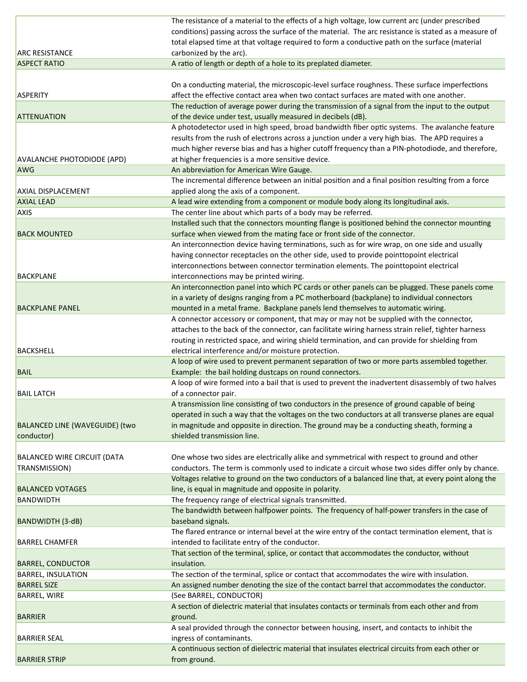|                                       | The resistance of a material to the effects of a high voltage, low current arc (under prescribed                          |
|---------------------------------------|---------------------------------------------------------------------------------------------------------------------------|
|                                       | conditions) passing across the surface of the material. The arc resistance is stated as a measure of                      |
|                                       | total elapsed time at that voltage required to form a conductive path on the surface (material                            |
| <b>ARC RESISTANCE</b>                 | carbonized by the arc).                                                                                                   |
| <b>ASPECT RATIO</b>                   | A ratio of length or depth of a hole to its preplated diameter.                                                           |
|                                       |                                                                                                                           |
|                                       | On a conducting material, the microscopic-level surface roughness. These surface imperfections                            |
| <b>ASPERITY</b>                       | affect the effective contact area when two contact surfaces are mated with one another.                                   |
|                                       | The reduction of average power during the transmission of a signal from the input to the output                           |
| <b>ATTENUATION</b>                    | of the device under test, usually measured in decibels (dB).                                                              |
|                                       | A photodetector used in high speed, broad bandwidth fiber optic systems. The avalanche feature                            |
|                                       | results from the rush of electrons across a junction under a very high bias. The APD requires a                           |
|                                       | much higher reverse bias and has a higher cutoff frequency than a PIN-photodiode, and therefore,                          |
| <b>AVALANCHE PHOTODIODE (APD)</b>     | at higher frequencies is a more sensitive device.                                                                         |
| AWG                                   | An abbreviation for American Wire Gauge.                                                                                  |
|                                       |                                                                                                                           |
|                                       | The incremental difference between an initial position and a final position resulting from a force                        |
| AXIAL DISPLACEMENT                    | applied along the axis of a component.                                                                                    |
| <b>AXIAL LEAD</b>                     | A lead wire extending from a component or module body along its longitudinal axis.                                        |
| <b>AXIS</b>                           | The center line about which parts of a body may be referred.                                                              |
|                                       | Installed such that the connectors mounting flange is positioned behind the connector mounting                            |
| <b>BACK MOUNTED</b>                   | surface when viewed from the mating face or front side of the connector.                                                  |
|                                       | An interconnection device having terminations, such as for wire wrap, on one side and usually                             |
|                                       | having connector receptacles on the other side, used to provide pointtopoint electrical                                   |
|                                       | interconnections between connector termination elements. The pointtopoint electrical                                      |
| <b>BACKPLANE</b>                      | interconnections may be printed wiring.                                                                                   |
|                                       | An interconnection panel into which PC cards or other panels can be plugged. These panels come                            |
|                                       | in a variety of designs ranging from a PC motherboard (backplane) to individual connectors                                |
| <b>BACKPLANE PANEL</b>                | mounted in a metal frame. Backplane panels lend themselves to automatic wiring.                                           |
|                                       | A connector accessory or component, that may or may not be supplied with the connector,                                   |
|                                       | attaches to the back of the connector, can facilitate wiring harness strain relief, tighter harness                       |
|                                       | routing in restricted space, and wiring shield termination, and can provide for shielding from                            |
| <b>BACKSHELL</b>                      | electrical interference and/or moisture protection.                                                                       |
|                                       | A loop of wire used to prevent permanent separation of two or more parts assembled together.                              |
| <b>BAIL</b>                           | Example: the bail holding dustcaps on round connectors.                                                                   |
|                                       | A loop of wire formed into a bail that is used to prevent the inadvertent disassembly of two halves                       |
| <b>BAIL LATCH</b>                     | of a connector pair.                                                                                                      |
|                                       | A transmission line consisting of two conductors in the presence of ground capable of being                               |
|                                       | operated in such a way that the voltages on the two conductors at all transverse planes are equal                         |
| <b>BALANCED LINE (WAVEGUIDE) (two</b> | in magnitude and opposite in direction. The ground may be a conducting sheath, forming a                                  |
| conductor)                            | shielded transmission line.                                                                                               |
|                                       |                                                                                                                           |
| <b>BALANCED WIRE CIRCUIT (DATA</b>    | One whose two sides are electrically alike and symmetrical with respect to ground and other                               |
| TRANSMISSION)                         | conductors. The term is commonly used to indicate a circuit whose two sides differ only by chance.                        |
|                                       | Voltages relative to ground on the two conductors of a balanced line that, at every point along the                       |
| <b>BALANCED VOTAGES</b>               | line, is equal in magnitude and opposite in polarity.                                                                     |
| <b>BANDWIDTH</b>                      | The frequency range of electrical signals transmitted.                                                                    |
|                                       | The bandwidth between halfpower points. The frequency of half-power transfers in the case of                              |
| BANDWIDTH (3-dB)                      | baseband signals.                                                                                                         |
|                                       | The flared entrance or internal bevel at the wire entry of the contact termination element, that is                       |
| <b>BARREL CHAMFER</b>                 | intended to facilitate entry of the conductor.                                                                            |
|                                       | That section of the terminal, splice, or contact that accommodates the conductor, without                                 |
| <b>BARREL, CONDUCTOR</b>              | insulation.                                                                                                               |
| <b>BARREL, INSULATION</b>             | The section of the terminal, splice or contact that accommodates the wire with insulation.                                |
| <b>BARREL SIZE</b>                    | An assigned number denoting the size of the contact barrel that accommodates the conductor.                               |
|                                       |                                                                                                                           |
| BARREL, WIRE                          | (See BARREL, CONDUCTOR)<br>A section of dielectric material that insulates contacts or terminals from each other and from |
|                                       |                                                                                                                           |
| <b>BARRIER</b>                        | ground.                                                                                                                   |
|                                       | A seal provided through the connector between housing, insert, and contacts to inhibit the                                |
| <b>BARRIER SEAL</b>                   | ingress of contaminants.                                                                                                  |
|                                       | A continuous section of dielectric material that insulates electrical circuits from each other or                         |
| <b>BARRIER STRIP</b>                  | from ground.                                                                                                              |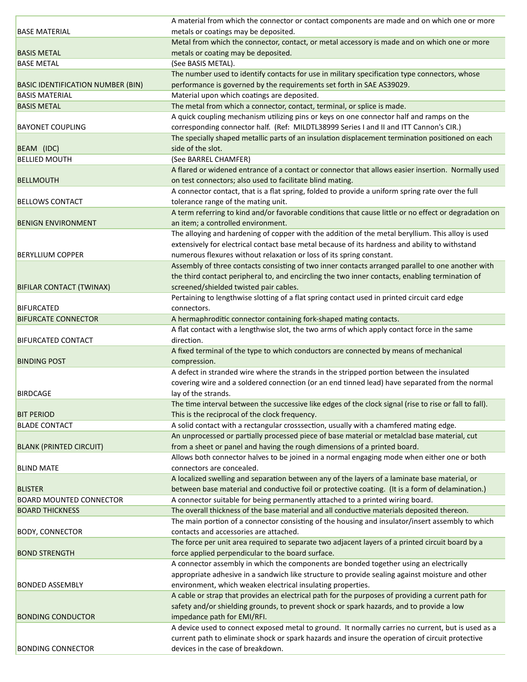|                                          | A material from which the connector or contact components are made and on which one or more             |
|------------------------------------------|---------------------------------------------------------------------------------------------------------|
| <b>BASE MATERIAL</b>                     | metals or coatings may be deposited.                                                                    |
|                                          | Metal from which the connector, contact, or metal accessory is made and on which one or more            |
| <b>BASIS METAL</b>                       | metals or coating may be deposited.                                                                     |
| <b>BASE METAL</b>                        | (See BASIS METAL).                                                                                      |
|                                          | The number used to identify contacts for use in military specification type connectors, whose           |
| <b>BASIC IDENTIFICATION NUMBER (BIN)</b> | performance is governed by the requirements set forth in SAE AS39029.                                   |
| <b>BASIS MATERIAL</b>                    | Material upon which coatings are deposited.                                                             |
| <b>BASIS METAL</b>                       | The metal from which a connector, contact, terminal, or splice is made.                                 |
|                                          | A quick coupling mechanism utilizing pins or keys on one connector half and ramps on the                |
| <b>BAYONET COUPLING</b>                  | corresponding connector half. (Ref: MILDTL38999 Series I and II and ITT Cannon's CIR.)                  |
|                                          | The specially shaped metallic parts of an insulation displacement termination positioned on each        |
| BEAM (IDC)                               | side of the slot.                                                                                       |
| <b>BELLIED MOUTH</b>                     | (See BARREL CHAMFER)                                                                                    |
|                                          | A flared or widened entrance of a contact or connector that allows easier insertion. Normally used      |
| <b>BELLMOUTH</b>                         | on test connectors; also used to facilitate blind mating.                                               |
|                                          | A connector contact, that is a flat spring, folded to provide a uniform spring rate over the full       |
| <b>BELLOWS CONTACT</b>                   |                                                                                                         |
|                                          | tolerance range of the mating unit.                                                                     |
|                                          | A term referring to kind and/or favorable conditions that cause little or no effect or degradation on   |
| <b>BENIGN ENVIRONMENT</b>                | an item; a controlled environment.                                                                      |
|                                          | The alloying and hardening of copper with the addition of the metal beryllium. This alloy is used       |
|                                          | extensively for electrical contact base metal because of its hardness and ability to withstand          |
| <b>BERYLLIUM COPPER</b>                  | numerous flexures without relaxation or loss of its spring constant.                                    |
|                                          | Assembly of three contacts consisting of two inner contacts arranged parallel to one another with       |
|                                          | the third contact peripheral to, and encircling the two inner contacts, enabling termination of         |
| BIFILAR CONTACT (TWINAX)                 | screened/shielded twisted pair cables.                                                                  |
|                                          | Pertaining to lengthwise slotting of a flat spring contact used in printed circuit card edge            |
| <b>BIFURCATED</b>                        | connectors.                                                                                             |
| <b>BIFURCATE CONNECTOR</b>               | A hermaphroditic connector containing fork-shaped mating contacts.                                      |
|                                          | A flat contact with a lengthwise slot, the two arms of which apply contact force in the same            |
| <b>BIFURCATED CONTACT</b>                | direction.                                                                                              |
|                                          | A fixed terminal of the type to which conductors are connected by means of mechanical                   |
| <b>BINDING POST</b>                      | compression.                                                                                            |
|                                          | A defect in stranded wire where the strands in the stripped portion between the insulated               |
|                                          | covering wire and a soldered connection (or an end tinned lead) have separated from the normal          |
| <b>BIRDCAGE</b>                          | lay of the strands.                                                                                     |
|                                          | The time interval between the successive like edges of the clock signal (rise to rise or fall to fall). |
| <b>BIT PERIOD</b>                        | This is the reciprocal of the clock frequency.                                                          |
| <b>BLADE CONTACT</b>                     | A solid contact with a rectangular crosssection, usually with a chamfered mating edge.                  |
|                                          | An unprocessed or partially processed piece of base material or metalclad base material, cut            |
| <b>BLANK (PRINTED CIRCUIT)</b>           | from a sheet or panel and having the rough dimensions of a printed board.                               |
|                                          | Allows both connector halves to be joined in a normal engaging mode when either one or both             |
| <b>BLIND MATE</b>                        | connectors are concealed.                                                                               |
|                                          | A localized swelling and separation between any of the layers of a laminate base material, or           |
| <b>BLISTER</b>                           | between base material and conductive foil or protective coating. (It is a form of delamination.)        |
| <b>BOARD MOUNTED CONNECTOR</b>           | A connector suitable for being permanently attached to a printed wiring board.                          |
| <b>BOARD THICKNESS</b>                   | The overall thickness of the base material and all conductive materials deposited thereon.              |
|                                          | The main portion of a connector consisting of the housing and insulator/insert assembly to which        |
| <b>BODY, CONNECTOR</b>                   | contacts and accessories are attached.                                                                  |
|                                          | The force per unit area required to separate two adjacent layers of a printed circuit board by a        |
| <b>BOND STRENGTH</b>                     | force applied perpendicular to the board surface.                                                       |
|                                          |                                                                                                         |
|                                          | A connector assembly in which the components are bonded together using an electrically                  |
|                                          | appropriate adhesive in a sandwich like structure to provide sealing against moisture and other         |
| <b>BONDED ASSEMBLY</b>                   | environment, which weaken electrical insulating properties.                                             |
|                                          | A cable or strap that provides an electrical path for the purposes of providing a current path for      |
|                                          | safety and/or shielding grounds, to prevent shock or spark hazards, and to provide a low                |
| <b>BONDING CONDUCTOR</b>                 | impedance path for EMI/RFI.                                                                             |
|                                          | A device used to connect exposed metal to ground. It normally carries no current, but is used as a      |
|                                          | current path to eliminate shock or spark hazards and insure the operation of circuit protective         |
| <b>BONDING CONNECTOR</b>                 | devices in the case of breakdown.                                                                       |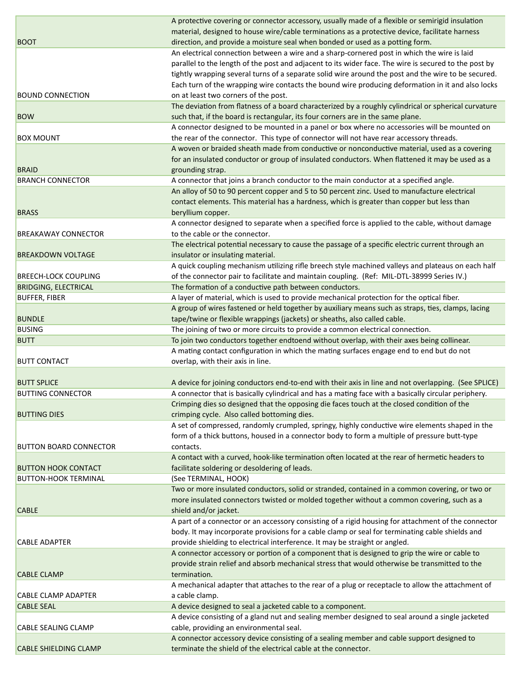|                               | A protective covering or connector accessory, usually made of a flexible or semirigid insulation                                                            |
|-------------------------------|-------------------------------------------------------------------------------------------------------------------------------------------------------------|
|                               | material, designed to house wire/cable terminations as a protective device, facilitate harness                                                              |
| <b>BOOT</b>                   | direction, and provide a moisture seal when bonded or used as a potting form.                                                                               |
|                               | An electrical connection between a wire and a sharp-cornered post in which the wire is laid                                                                 |
|                               | parallel to the length of the post and adjacent to its wider face. The wire is secured to the post by                                                       |
|                               | tightly wrapping several turns of a separate solid wire around the post and the wire to be secured.                                                         |
|                               | Each turn of the wrapping wire contacts the bound wire producing deformation in it and also locks                                                           |
| <b>BOUND CONNECTION</b>       | on at least two corners of the post.                                                                                                                        |
|                               | The deviation from flatness of a board characterized by a roughly cylindrical or spherical curvature                                                        |
| <b>BOW</b>                    | such that, if the board is rectangular, its four corners are in the same plane.                                                                             |
|                               | A connector designed to be mounted in a panel or box where no accessories will be mounted on                                                                |
| <b>BOX MOUNT</b>              | the rear of the connector. This type of connector will not have rear accessory threads.                                                                     |
|                               | A woven or braided sheath made from conductive or nonconductive material, used as a covering                                                                |
|                               |                                                                                                                                                             |
|                               | for an insulated conductor or group of insulated conductors. When flattened it may be used as a                                                             |
| <b>BRAID</b>                  | grounding strap.                                                                                                                                            |
| <b>BRANCH CONNECTOR</b>       | A connector that joins a branch conductor to the main conductor at a specified angle.                                                                       |
|                               | An alloy of 50 to 90 percent copper and 5 to 50 percent zinc. Used to manufacture electrical                                                                |
|                               | contact elements. This material has a hardness, which is greater than copper but less than                                                                  |
| <b>BRASS</b>                  | beryllium copper.                                                                                                                                           |
|                               | A connector designed to separate when a specified force is applied to the cable, without damage                                                             |
| <b>BREAKAWAY CONNECTOR</b>    | to the cable or the connector.                                                                                                                              |
|                               | The electrical potential necessary to cause the passage of a specific electric current through an                                                           |
| <b>BREAKDOWN VOLTAGE</b>      | insulator or insulating material.                                                                                                                           |
|                               | A quick coupling mechanism utilizing rifle breech style machined valleys and plateaus on each half                                                          |
| <b>BREECH-LOCK COUPLING</b>   | of the connector pair to facilitate and maintain coupling. (Ref: MIL-DTL-38999 Series IV.)                                                                  |
| <b>BRIDGING, ELECTRICAL</b>   | The formation of a conductive path between conductors.                                                                                                      |
| <b>BUFFER, FIBER</b>          | A layer of material, which is used to provide mechanical protection for the optical fiber.                                                                  |
|                               | A group of wires fastened or held together by auxiliary means such as straps, ties, clamps, lacing                                                          |
| <b>BUNDLE</b>                 | tape/twine or flexible wrappings (jackets) or sheaths, also called cable.                                                                                   |
| <b>BUSING</b>                 | The joining of two or more circuits to provide a common electrical connection.                                                                              |
|                               |                                                                                                                                                             |
| <b>BUTT</b>                   |                                                                                                                                                             |
|                               | To join two conductors together endtoend without overlap, with their axes being collinear.                                                                  |
|                               | A mating contact configuration in which the mating surfaces engage end to end but do not                                                                    |
| <b>BUTT CONTACT</b>           | overlap, with their axis in line.                                                                                                                           |
|                               |                                                                                                                                                             |
| <b>BUTT SPLICE</b>            | A device for joining conductors end-to-end with their axis in line and not overlapping. (See SPLICE)                                                        |
| <b>BUTTING CONNECTOR</b>      | A connector that is basically cylindrical and has a mating face with a basically circular periphery.                                                        |
|                               | Crimping dies so designed that the opposing die faces touch at the closed condition of the                                                                  |
| <b>BUTTING DIES</b>           | crimping cycle. Also called bottoming dies.                                                                                                                 |
|                               | A set of compressed, randomly crumpled, springy, highly conductive wire elements shaped in the                                                              |
|                               | form of a thick buttons, housed in a connector body to form a multiple of pressure butt-type                                                                |
| <b>BUTTON BOARD CONNECTOR</b> | contacts.                                                                                                                                                   |
|                               | A contact with a curved, hook-like termination often located at the rear of hermetic headers to                                                             |
| <b>BUTTON HOOK CONTACT</b>    | facilitate soldering or desoldering of leads.                                                                                                               |
| <b>BUTTON-HOOK TERMINAL</b>   | (See TERMINAL, HOOK)                                                                                                                                        |
|                               | Two or more insulated conductors, solid or stranded, contained in a common covering, or two or                                                              |
|                               | more insulated connectors twisted or molded together without a common covering, such as a                                                                   |
| <b>CABLE</b>                  | shield and/or jacket.                                                                                                                                       |
|                               | A part of a connector or an accessory consisting of a rigid housing for attachment of the connector                                                         |
|                               | body. It may incorporate provisions for a cable clamp or seal for terminating cable shields and                                                             |
| <b>CABLE ADAPTER</b>          | provide shielding to electrical interference. It may be straight or angled.                                                                                 |
|                               | A connector accessory or portion of a component that is designed to grip the wire or cable to                                                               |
|                               | provide strain relief and absorb mechanical stress that would otherwise be transmitted to the                                                               |
| <b>CABLE CLAMP</b>            | termination.                                                                                                                                                |
|                               | A mechanical adapter that attaches to the rear of a plug or receptacle to allow the attachment of                                                           |
| <b>CABLE CLAMP ADAPTER</b>    | a cable clamp.                                                                                                                                              |
| <b>CABLE SEAL</b>             | A device designed to seal a jacketed cable to a component.                                                                                                  |
|                               | A device consisting of a gland nut and sealing member designed to seal around a single jacketed                                                             |
| <b>CABLE SEALING CLAMP</b>    | cable, providing an environmental seal.                                                                                                                     |
|                               |                                                                                                                                                             |
| <b>CABLE SHIELDING CLAMP</b>  | A connector accessory device consisting of a sealing member and cable support designed to<br>terminate the shield of the electrical cable at the connector. |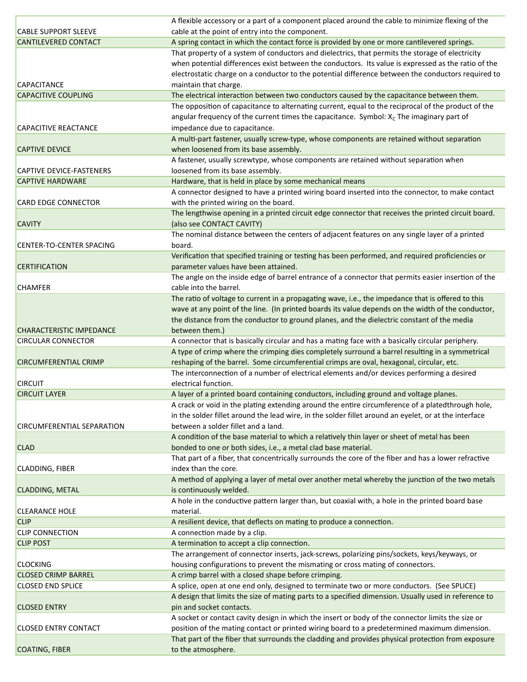|                                 | A flexible accessory or a part of a component placed around the cable to minimize flexing of the      |
|---------------------------------|-------------------------------------------------------------------------------------------------------|
| <b>CABLE SUPPORT SLEEVE</b>     | cable at the point of entry into the component.                                                       |
| <b>CANTILEVERED CONTACT</b>     | A spring contact in which the contact force is provided by one or more cantilevered springs.          |
|                                 | That property of a system of conductors and dielectrics, that permits the storage of electricity      |
|                                 | when potential differences exist between the conductors. Its value is expressed as the ratio of the   |
|                                 | electrostatic charge on a conductor to the potential difference between the conductors required to    |
| <b>CAPACITANCE</b>              | maintain that charge.                                                                                 |
| <b>CAPACITIVE COUPLING</b>      | The electrical interaction between two conductors caused by the capacitance between them.             |
|                                 | The opposition of capacitance to alternating current, equal to the reciprocal of the product of the   |
|                                 | angular frequency of the current times the capacitance. Symbol: $X_c$ The imaginary part of           |
| <b>CAPACITIVE REACTANCE</b>     | impedance due to capacitance.                                                                         |
|                                 | A multi-part fastener, usually screw-type, whose components are retained without separation           |
| <b>CAPTIVE DEVICE</b>           | when loosened from its base assembly.                                                                 |
|                                 | A fastener, usually screwtype, whose components are retained without separation when                  |
| <b>CAPTIVE DEVICE-FASTENERS</b> | loosened from its base assembly.                                                                      |
| <b>CAPTIVE HARDWARE</b>         | Hardware, that is held in place by some mechanical means                                              |
|                                 |                                                                                                       |
|                                 | A connector designed to have a printed wiring board inserted into the connector, to make contact      |
| <b>CARD EDGE CONNECTOR</b>      | with the printed wiring on the board.                                                                 |
|                                 | The lengthwise opening in a printed circuit edge connector that receives the printed circuit board.   |
| <b>CAVITY</b>                   | (also see CONTACT CAVITY)                                                                             |
|                                 | The nominal distance between the centers of adjacent features on any single layer of a printed        |
| <b>CENTER-TO-CENTER SPACING</b> | board.                                                                                                |
|                                 | Verification that specified training or testing has been performed, and required proficiencies or     |
| <b>CERTIFICATION</b>            | parameter values have been attained.                                                                  |
|                                 | The angle on the inside edge of barrel entrance of a connector that permits easier insertion of the   |
| <b>CHAMFER</b>                  | cable into the barrel.                                                                                |
|                                 | The ratio of voltage to current in a propagating wave, i.e., the impedance that is offered to this    |
|                                 | wave at any point of the line. (In printed boards its value depends on the width of the conductor,    |
|                                 | the distance from the conductor to ground planes, and the dielectric constant of the media            |
| <b>CHARACTERISTIC IMPEDANCE</b> | between them.)                                                                                        |
| <b>CIRCULAR CONNECTOR</b>       | A connector that is basically circular and has a mating face with a basically circular periphery.     |
|                                 | A type of crimp where the crimping dies completely surround a barrel resulting in a symmetrical       |
| <b>CIRCUMFERENTIAL CRIMP</b>    | reshaping of the barrel. Some circumferential crimps are oval, hexagonal, circular, etc.              |
|                                 | The interconnection of a number of electrical elements and/or devices performing a desired            |
| <b>CIRCUIT</b>                  | electrical function.                                                                                  |
| <b>CIRCUIT LAYER</b>            | A layer of a printed board containing conductors, including ground and voltage planes.                |
|                                 | A crack or void in the plating extending around the entire circumference of a plated through hole,    |
|                                 | in the solder fillet around the lead wire, in the solder fillet around an eyelet, or at the interface |
| CIRCUMFERENTIAL SEPARATION      | between a solder fillet and a land.                                                                   |
|                                 | A condition of the base material to which a relatively thin layer or sheet of metal has been          |
| <b>CLAD</b>                     | bonded to one or both sides, i.e., a metal clad base material.                                        |
|                                 | That part of a fiber, that concentrically surrounds the core of the fiber and has a lower refractive  |
| <b>CLADDING, FIBER</b>          | index than the core.                                                                                  |
|                                 | A method of applying a layer of metal over another metal whereby the junction of the two metals       |
|                                 | is continuously welded.                                                                               |
| <b>CLADDING, METAL</b>          |                                                                                                       |
|                                 | A hole in the conductive pattern larger than, but coaxial with, a hole in the printed board base      |
| <b>CLEARANCE HOLE</b>           | material.                                                                                             |
| <b>CLIP</b>                     | A resilient device, that deflects on mating to produce a connection.                                  |
| <b>CLIP CONNECTION</b>          | A connection made by a clip.                                                                          |
| <b>CLIP POST</b>                | A termination to accept a clip connection.                                                            |
|                                 | The arrangement of connector inserts, jack-screws, polarizing pins/sockets, keys/keyways, or          |
| <b>CLOCKING</b>                 | housing configurations to prevent the mismating or cross mating of connectors.                        |
| <b>CLOSED CRIMP BARREL</b>      | A crimp barrel with a closed shape before crimping.                                                   |
| <b>CLOSED END SPLICE</b>        | A splice, open at one end only, designed to terminate two or more conductors. (See SPLICE)            |
|                                 | A design that limits the size of mating parts to a specified dimension. Usually used in reference to  |
| <b>CLOSED ENTRY</b>             | pin and socket contacts.                                                                              |
|                                 | A socket or contact cavity design in which the insert or body of the connector limits the size or     |
| <b>CLOSED ENTRY CONTACT</b>     | position of the mating contact or printed wiring board to a predetermined maximum dimension.          |
|                                 | That part of the fiber that surrounds the cladding and provides physical protection from exposure     |
| <b>COATING, FIBER</b>           | to the atmosphere.                                                                                    |
|                                 |                                                                                                       |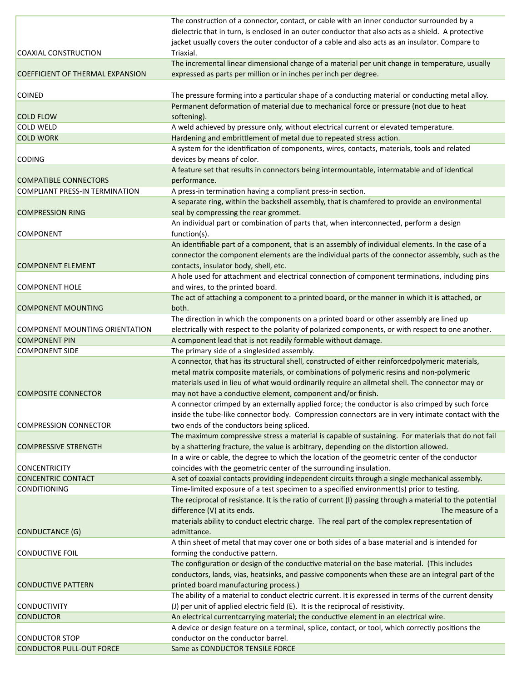|                                         | The construction of a connector, contact, or cable with an inner conductor surrounded by a               |
|-----------------------------------------|----------------------------------------------------------------------------------------------------------|
|                                         | dielectric that in turn, is enclosed in an outer conductor that also acts as a shield. A protective      |
|                                         | jacket usually covers the outer conductor of a cable and also acts as an insulator. Compare to           |
| COAXIAL CONSTRUCTION                    | Triaxial.                                                                                                |
|                                         | The incremental linear dimensional change of a material per unit change in temperature, usually          |
| <b>COEFFICIENT OF THERMAL EXPANSION</b> | expressed as parts per million or in inches per inch per degree.                                         |
|                                         |                                                                                                          |
| <b>COINED</b>                           | The pressure forming into a particular shape of a conducting material or conducting metal alloy.         |
|                                         | Permanent deformation of material due to mechanical force or pressure (not due to heat                   |
| <b>COLD FLOW</b>                        | softening).                                                                                              |
| <b>COLD WELD</b>                        | A weld achieved by pressure only, without electrical current or elevated temperature.                    |
| <b>COLD WORK</b>                        | Hardening and embrittlement of metal due to repeated stress action.                                      |
|                                         | A system for the identification of components, wires, contacts, materials, tools and related             |
| <b>CODING</b>                           | devices by means of color.                                                                               |
|                                         | A feature set that results in connectors being intermountable, intermatable and of identical             |
| <b>COMPATIBLE CONNECTORS</b>            | performance.                                                                                             |
| <b>COMPLIANT PRESS-IN TERMINATION</b>   | A press-in termination having a compliant press-in section.                                              |
|                                         | A separate ring, within the backshell assembly, that is chamfered to provide an environmental            |
| <b>COMPRESSION RING</b>                 | seal by compressing the rear grommet.                                                                    |
|                                         | An individual part or combination of parts that, when interconnected, perform a design                   |
| <b>COMPONENT</b>                        | function(s).                                                                                             |
|                                         | An identifiable part of a component, that is an assembly of individual elements. In the case of a        |
|                                         | connector the component elements are the individual parts of the connector assembly, such as the         |
| <b>COMPONENT ELEMENT</b>                | contacts, insulator body, shell, etc.                                                                    |
|                                         | A hole used for attachment and electrical connection of component terminations, including pins           |
| <b>COMPONENT HOLE</b>                   | and wires, to the printed board.                                                                         |
|                                         | The act of attaching a component to a printed board, or the manner in which it is attached, or           |
| <b>COMPONENT MOUNTING</b>               | both.                                                                                                    |
|                                         | The direction in which the components on a printed board or other assembly are lined up                  |
| COMPONENT MOUNTING ORIENTATION          | electrically with respect to the polarity of polarized components, or with respect to one another.       |
| <b>COMPONENT PIN</b>                    | A component lead that is not readily formable without damage.                                            |
| <b>COMPONENT SIDE</b>                   | The primary side of a singlesided assembly.                                                              |
|                                         | A connector, that has its structural shell, constructed of either reinforcedpolymeric materials,         |
|                                         | metal matrix composite materials, or combinations of polymeric resins and non-polymeric                  |
|                                         | materials used in lieu of what would ordinarily require an allmetal shell. The connector may or          |
| <b>COMPOSITE CONNECTOR</b>              | may not have a conductive element, component and/or finish.                                              |
|                                         | A connector crimped by an externally applied force; the conductor is also crimped by such force          |
|                                         | inside the tube-like connector body. Compression connectors are in very intimate contact with the        |
| <b>COMPRESSION CONNECTOR</b>            | two ends of the conductors being spliced.                                                                |
|                                         | The maximum compressive stress a material is capable of sustaining. For materials that do not fail       |
| <b>COMPRESSIVE STRENGTH</b>             | by a shattering fracture, the value is arbitrary, depending on the distortion allowed.                   |
|                                         | In a wire or cable, the degree to which the location of the geometric center of the conductor            |
| <b>CONCENTRICITY</b>                    | coincides with the geometric center of the surrounding insulation.                                       |
| <b>CONCENTRIC CONTACT</b>               | A set of coaxial contacts providing independent circuits through a single mechanical assembly.           |
| <b>CONDITIONING</b>                     | Time-limited exposure of a test specimen to a specified environment(s) prior to testing.                 |
|                                         | The reciprocal of resistance. It is the ratio of current (I) passing through a material to the potential |
|                                         | difference (V) at its ends.<br>The measure of a                                                          |
|                                         | materials ability to conduct electric charge. The real part of the complex representation of             |
| CONDUCTANCE (G)                         | admittance.                                                                                              |
|                                         | A thin sheet of metal that may cover one or both sides of a base material and is intended for            |
| <b>CONDUCTIVE FOIL</b>                  |                                                                                                          |
|                                         | forming the conductive pattern.                                                                          |
|                                         | The configuration or design of the conductive material on the base material. (This includes              |
|                                         | conductors, lands, vias, heatsinks, and passive components when these are an integral part of the        |
| <b>CONDUCTIVE PATTERN</b>               | printed board manufacturing process.)                                                                    |
|                                         | The ability of a material to conduct electric current. It is expressed in terms of the current density   |
| <b>CONDUCTIVITY</b>                     | (J) per unit of applied electric field (E). It is the reciprocal of resistivity.                         |
| <b>CONDUCTOR</b>                        | An electrical currentcarrying material; the conductive element in an electrical wire.                    |
|                                         | A device or design feature on a terminal, splice, contact, or tool, which correctly positions the        |
| <b>CONDUCTOR STOP</b>                   | conductor on the conductor barrel.                                                                       |
| <b>CONDUCTOR PULL-OUT FORCE</b>         | Same as CONDUCTOR TENSILE FORCE                                                                          |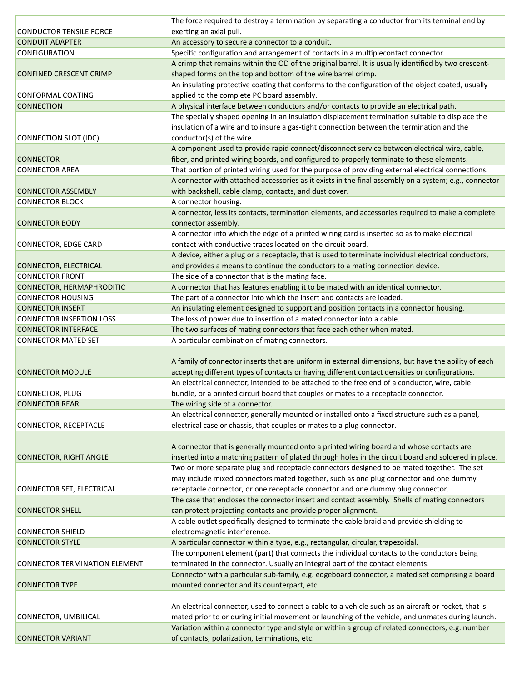|                                      | The force required to destroy a termination by separating a conductor from its terminal end by                                                    |
|--------------------------------------|---------------------------------------------------------------------------------------------------------------------------------------------------|
| <b>CONDUCTOR TENSILE FORCE</b>       | exerting an axial pull.                                                                                                                           |
| <b>CONDUIT ADAPTER</b>               | An accessory to secure a connector to a conduit.                                                                                                  |
| <b>CONFIGURATION</b>                 | Specific configuration and arrangement of contacts in a multiplecontact connector.                                                                |
|                                      | A crimp that remains within the OD of the original barrel. It is usually identified by two crescent-                                              |
| <b>CONFINED CRESCENT CRIMP</b>       | shaped forms on the top and bottom of the wire barrel crimp.                                                                                      |
|                                      | An insulating protective coating that conforms to the configuration of the object coated, usually                                                 |
| <b>CONFORMAL COATING</b>             | applied to the complete PC board assembly.                                                                                                        |
| <b>CONNECTION</b>                    | A physical interface between conductors and/or contacts to provide an electrical path.                                                            |
|                                      |                                                                                                                                                   |
|                                      | The specially shaped opening in an insulation displacement termination suitable to displace the                                                   |
|                                      | insulation of a wire and to insure a gas-tight connection between the termination and the                                                         |
| CONNECTION SLOT (IDC)                | conductor(s) of the wire.                                                                                                                         |
|                                      | A component used to provide rapid connect/disconnect service between electrical wire, cable,                                                      |
| <b>CONNECTOR</b>                     | fiber, and printed wiring boards, and configured to properly terminate to these elements.                                                         |
| <b>CONNECTOR AREA</b>                | That portion of printed wiring used for the purpose of providing external electrical connections.                                                 |
|                                      | A connector with attached accessories as it exists in the final assembly on a system; e.g., connector                                             |
| <b>CONNECTOR ASSEMBLY</b>            | with backshell, cable clamp, contacts, and dust cover.                                                                                            |
| <b>CONNECTOR BLOCK</b>               | A connector housing.                                                                                                                              |
|                                      | A connector, less its contacts, termination elements, and accessories required to make a complete                                                 |
| <b>CONNECTOR BODY</b>                | connector assembly.                                                                                                                               |
|                                      | A connector into which the edge of a printed wiring card is inserted so as to make electrical                                                     |
| <b>CONNECTOR, EDGE CARD</b>          | contact with conductive traces located on the circuit board.                                                                                      |
|                                      | A device, either a plug or a receptacle, that is used to terminate individual electrical conductors,                                              |
| <b>CONNECTOR, ELECTRICAL</b>         | and provides a means to continue the conductors to a mating connection device.                                                                    |
| <b>CONNECTOR FRONT</b>               | The side of a connector that is the mating face.                                                                                                  |
| <b>CONNECTOR, HERMAPHRODITIC</b>     | A connector that has features enabling it to be mated with an identical connector.                                                                |
|                                      |                                                                                                                                                   |
| <b>CONNECTOR HOUSING</b>             | The part of a connector into which the insert and contacts are loaded.                                                                            |
| <b>CONNECTOR INSERT</b>              | An insulating element designed to support and position contacts in a connector housing.                                                           |
| <b>CONNECTOR INSERTION LOSS</b>      | The loss of power due to insertion of a mated connector into a cable.                                                                             |
|                                      |                                                                                                                                                   |
| <b>CONNECTOR INTERFACE</b>           | The two surfaces of mating connectors that face each other when mated.                                                                            |
| <b>CONNECTOR MATED SET</b>           | A particular combination of mating connectors.                                                                                                    |
|                                      |                                                                                                                                                   |
|                                      | A family of connector inserts that are uniform in external dimensions, but have the ability of each                                               |
| <b>CONNECTOR MODULE</b>              | accepting different types of contacts or having different contact densities or configurations.                                                    |
|                                      | An electrical connector, intended to be attached to the free end of a conductor, wire, cable                                                      |
| CONNECTOR, PLUG                      | bundle, or a printed circuit board that couples or mates to a receptacle connector.                                                               |
| <b>CONNECTOR REAR</b>                | The wiring side of a connector.                                                                                                                   |
|                                      | An electrical connector, generally mounted or installed onto a fixed structure such as a panel,                                                   |
|                                      |                                                                                                                                                   |
| CONNECTOR, RECEPTACLE                | electrical case or chassis, that couples or mates to a plug connector.                                                                            |
|                                      |                                                                                                                                                   |
|                                      | A connector that is generally mounted onto a printed wiring board and whose contacts are                                                          |
| <b>CONNECTOR, RIGHT ANGLE</b>        | inserted into a matching pattern of plated through holes in the circuit board and soldered in place.                                              |
|                                      | Two or more separate plug and receptacle connectors designed to be mated together. The set                                                        |
|                                      | may include mixed connectors mated together, such as one plug connector and one dummy                                                             |
| CONNECTOR SET, ELECTRICAL            | receptacle connector, or one receptacle connector and one dummy plug connector.                                                                   |
|                                      | The case that encloses the connector insert and contact assembly. Shells of mating connectors                                                     |
| <b>CONNECTOR SHELL</b>               | can protect projecting contacts and provide proper alignment.                                                                                     |
|                                      | A cable outlet specifically designed to terminate the cable braid and provide shielding to                                                        |
| <b>CONNECTOR SHIELD</b>              | electromagnetic interference.                                                                                                                     |
| <b>CONNECTOR STYLE</b>               | A particular connector within a type, e.g., rectangular, circular, trapezoidal.                                                                   |
|                                      | The component element (part) that connects the individual contacts to the conductors being                                                        |
| <b>CONNECTOR TERMINATION ELEMENT</b> | terminated in the connector. Usually an integral part of the contact elements.                                                                    |
|                                      | Connector with a particular sub-family, e.g. edgeboard connector, a mated set comprising a board                                                  |
| <b>CONNECTOR TYPE</b>                | mounted connector and its counterpart, etc.                                                                                                       |
|                                      |                                                                                                                                                   |
|                                      |                                                                                                                                                   |
|                                      | An electrical connector, used to connect a cable to a vehicle such as an aircraft or rocket, that is                                              |
| CONNECTOR, UMBILICAL                 | mated prior to or during initial movement or launching of the vehicle, and unmates during launch.                                                 |
| <b>CONNECTOR VARIANT</b>             | Variation within a connector type and style or within a group of related connectors, e.g. number<br>of contacts, polarization, terminations, etc. |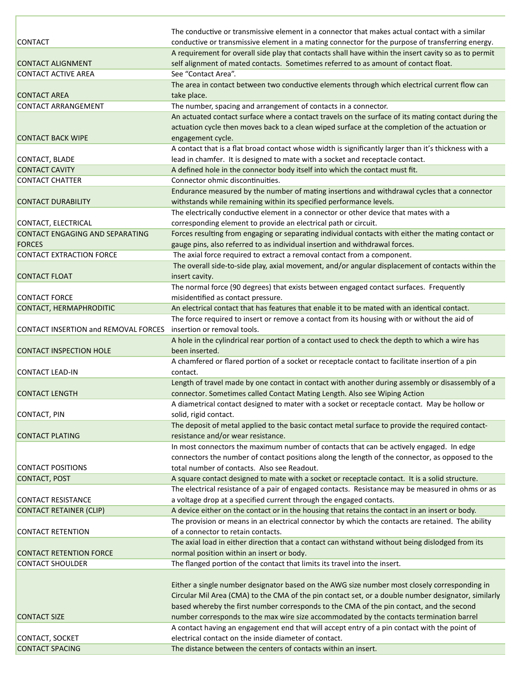|                                        | The conductive or transmissive element in a connector that makes actual contact with a similar        |
|----------------------------------------|-------------------------------------------------------------------------------------------------------|
| <b>CONTACT</b>                         | conductive or transmissive element in a mating connector for the purpose of transferring energy.      |
|                                        | A requirement for overall side play that contacts shall have within the insert cavity so as to permit |
| <b>CONTACT ALIGNMENT</b>               | self alignment of mated contacts. Sometimes referred to as amount of contact float.                   |
| <b>CONTACT ACTIVE AREA</b>             | See "Contact Area".                                                                                   |
|                                        | The area in contact between two conductive elements through which electrical current flow can         |
| <b>CONTACT AREA</b>                    | take place.                                                                                           |
| <b>CONTACT ARRANGEMENT</b>             | The number, spacing and arrangement of contacts in a connector.                                       |
|                                        | An actuated contact surface where a contact travels on the surface of its mating contact during the   |
|                                        | actuation cycle then moves back to a clean wiped surface at the completion of the actuation or        |
| <b>CONTACT BACK WIPE</b>               | engagement cycle.                                                                                     |
|                                        | A contact that is a flat broad contact whose width is significantly larger than it's thickness with a |
| CONTACT, BLADE                         | lead in chamfer. It is designed to mate with a socket and receptacle contact.                         |
| <b>CONTACT CAVITY</b>                  | A defined hole in the connector body itself into which the contact must fit.                          |
| <b>CONTACT CHATTER</b>                 | Connector ohmic discontinuities.                                                                      |
|                                        | Endurance measured by the number of mating insertions and withdrawal cycles that a connector          |
| <b>CONTACT DURABILITY</b>              | withstands while remaining within its specified performance levels.                                   |
|                                        | The electrically conductive element in a connector or other device that mates with a                  |
| CONTACT, ELECTRICAL                    | corresponding element to provide an electrical path or circuit.                                       |
| <b>CONTACT ENGAGING AND SEPARATING</b> | Forces resulting from engaging or separating individual contacts with either the mating contact or    |
| <b>FORCES</b>                          | gauge pins, also referred to as individual insertion and withdrawal forces.                           |
| <b>CONTACT EXTRACTION FORCE</b>        | The axial force required to extract a removal contact from a component.                               |
|                                        | The overall side-to-side play, axial movement, and/or angular displacement of contacts within the     |
| <b>CONTACT FLOAT</b>                   | insert cavity.                                                                                        |
|                                        | The normal force (90 degrees) that exists between engaged contact surfaces. Frequently                |
| <b>CONTACT FORCE</b>                   | misidentified as contact pressure.                                                                    |
| <b>CONTACT, HERMAPHRODITIC</b>         | An electrical contact that has features that enable it to be mated with an identical contact.         |
|                                        | The force required to insert or remove a contact from its housing with or without the aid of          |
| CONTACT INSERTION and REMOVAL FORCES   | insertion or removal tools.                                                                           |
|                                        | A hole in the cylindrical rear portion of a contact used to check the depth to which a wire has       |
| <b>CONTACT INSPECTION HOLE</b>         | been inserted.                                                                                        |
|                                        | A chamfered or flared portion of a socket or receptacle contact to facilitate insertion of a pin      |
| <b>CONTACT LEAD-IN</b>                 | contact.                                                                                              |
|                                        | Length of travel made by one contact in contact with another during assembly or disassembly of a      |
| <b>CONTACT LENGTH</b>                  | connector. Sometimes called Contact Mating Length. Also see Wiping Action                             |
|                                        | A diametrical contact designed to mater with a socket or receptacle contact. May be hollow or         |
| <b>CONTACT, PIN</b>                    | solid, rigid contact.                                                                                 |
|                                        | The deposit of metal applied to the basic contact metal surface to provide the required contact-      |
| <b>CONTACT PLATING</b>                 | resistance and/or wear resistance.                                                                    |
|                                        | In most connectors the maximum number of contacts that can be actively engaged. In edge               |
|                                        | connectors the number of contact positions along the length of the connector, as opposed to the       |
| <b>CONTACT POSITIONS</b>               | total number of contacts. Also see Readout.                                                           |
| <b>CONTACT, POST</b>                   | A square contact designed to mate with a socket or receptacle contact. It is a solid structure.       |
|                                        | The electrical resistance of a pair of engaged contacts. Resistance may be measured in ohms or as     |
| <b>CONTACT RESISTANCE</b>              | a voltage drop at a specified current through the engaged contacts.                                   |
| <b>CONTACT RETAINER (CLIP)</b>         | A device either on the contact or in the housing that retains the contact in an insert or body.       |
|                                        | The provision or means in an electrical connector by which the contacts are retained. The ability     |
| <b>CONTACT RETENTION</b>               | of a connector to retain contacts.                                                                    |
|                                        | The axial load in either direction that a contact can withstand without being dislodged from its      |
| <b>CONTACT RETENTION FORCE</b>         | normal position within an insert or body.                                                             |
| <b>CONTACT SHOULDER</b>                | The flanged portion of the contact that limits its travel into the insert.                            |
|                                        |                                                                                                       |
|                                        | Either a single number designator based on the AWG size number most closely corresponding in          |
|                                        | Circular Mil Area (CMA) to the CMA of the pin contact set, or a double number designator, similarly   |
|                                        | based whereby the first number corresponds to the CMA of the pin contact, and the second              |
| <b>CONTACT SIZE</b>                    | number corresponds to the max wire size accommodated by the contacts termination barrel               |
|                                        | A contact having an engagement end that will accept entry of a pin contact with the point of          |
| CONTACT, SOCKET                        | electrical contact on the inside diameter of contact.                                                 |
| <b>CONTACT SPACING</b>                 | The distance between the centers of contacts within an insert.                                        |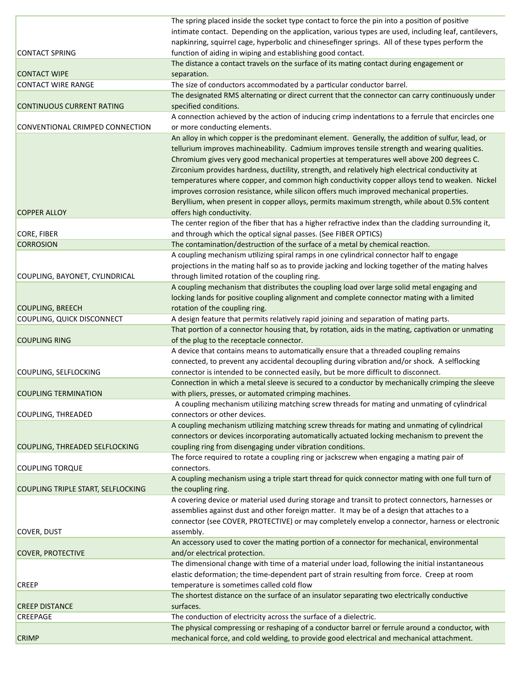|                                    | The spring placed inside the socket type contact to force the pin into a position of positive        |
|------------------------------------|------------------------------------------------------------------------------------------------------|
|                                    | intimate contact. Depending on the application, various types are used, including leaf, cantilevers, |
|                                    | napkinring, squirrel cage, hyperbolic and chinesefinger springs. All of these types perform the      |
| <b>CONTACT SPRING</b>              | function of aiding in wiping and establishing good contact.                                          |
|                                    | The distance a contact travels on the surface of its mating contact during engagement or             |
| <b>CONTACT WIPE</b>                | separation.                                                                                          |
| <b>CONTACT WIRE RANGE</b>          | The size of conductors accommodated by a particular conductor barrel.                                |
|                                    | The designated RMS alternating or direct current that the connector can carry continuously under     |
| <b>CONTINUOUS CURRENT RATING</b>   | specified conditions.                                                                                |
|                                    | A connection achieved by the action of inducing crimp indentations to a ferrule that encircles one   |
| CONVENTIONAL CRIMPED CONNECTION    | or more conducting elements.                                                                         |
|                                    | An alloy in which copper is the predominant element. Generally, the addition of sulfur, lead, or     |
|                                    | tellurium improves machineability. Cadmium improves tensile strength and wearing qualities.          |
|                                    | Chromium gives very good mechanical properties at temperatures well above 200 degrees C.             |
|                                    | Zirconium provides hardness, ductility, strength, and relatively high electrical conductivity at     |
|                                    | temperatures where copper, and common high conductivity copper alloys tend to weaken. Nickel         |
|                                    | improves corrosion resistance, while silicon offers much improved mechanical properties.             |
|                                    | Beryllium, when present in copper alloys, permits maximum strength, while about 0.5% content         |
| <b>COPPER ALLOY</b>                | offers high conductivity.                                                                            |
|                                    | The center region of the fiber that has a higher refractive index than the cladding surrounding it,  |
| CORE, FIBER                        | and through which the optical signal passes. (See FIBER OPTICS)                                      |
| <b>CORROSION</b>                   | The contamination/destruction of the surface of a metal by chemical reaction.                        |
|                                    | A coupling mechanism utilizing spiral ramps in one cylindrical connector half to engage              |
|                                    | projections in the mating half so as to provide jacking and locking together of the mating halves    |
| COUPLING, BAYONET, CYLINDRICAL     | through limited rotation of the coupling ring.                                                       |
|                                    | A coupling mechanism that distributes the coupling load over large solid metal engaging and          |
|                                    | locking lands for positive coupling alignment and complete connector mating with a limited           |
| <b>COUPLING, BREECH</b>            | rotation of the coupling ring.                                                                       |
| COUPLING, QUICK DISCONNECT         | A design feature that permits relatively rapid joining and separation of mating parts.               |
|                                    | That portion of a connector housing that, by rotation, aids in the mating, captivation or unmating   |
| <b>COUPLING RING</b>               | of the plug to the receptacle connector.                                                             |
|                                    | A device that contains means to automatically ensure that a threaded coupling remains                |
|                                    | connected, to prevent any accidental decoupling during vibration and/or shock. A selflocking         |
| COUPLING, SELFLOCKING              | connector is intended to be connected easily, but be more difficult to disconnect.                   |
|                                    | Connection in which a metal sleeve is secured to a conductor by mechanically crimping the sleeve     |
| <b>COUPLING TERMINATION</b>        | with pliers, presses, or automated crimping machines.                                                |
|                                    | A coupling mechanism utilizing matching screw threads for mating and unmating of cylindrical         |
| <b>COUPLING, THREADED</b>          | connectors or other devices.                                                                         |
|                                    | A coupling mechanism utilizing matching screw threads for mating and unmating of cylindrical         |
|                                    | connectors or devices incorporating automatically actuated locking mechanism to prevent the          |
| COUPLING, THREADED SELFLOCKING     | coupling ring from disengaging under vibration conditions.                                           |
|                                    | The force required to rotate a coupling ring or jackscrew when engaging a mating pair of             |
| <b>COUPLING TORQUE</b>             | connectors.                                                                                          |
|                                    | A coupling mechanism using a triple start thread for quick connector mating with one full turn of    |
| COUPLING TRIPLE START, SELFLOCKING | the coupling ring.                                                                                   |
|                                    | A covering device or material used during storage and transit to protect connectors, harnesses or    |
|                                    | assemblies against dust and other foreign matter. It may be of a design that attaches to a           |
|                                    | connector (see COVER, PROTECTIVE) or may completely envelop a connector, harness or electronic       |
| <b>COVER, DUST</b>                 | assembly.                                                                                            |
|                                    | An accessory used to cover the mating portion of a connector for mechanical, environmental           |
| <b>COVER, PROTECTIVE</b>           | and/or electrical protection.                                                                        |
|                                    | The dimensional change with time of a material under load, following the initial instantaneous       |
|                                    | elastic deformation; the time-dependent part of strain resulting from force. Creep at room           |
| <b>CREEP</b>                       | temperature is sometimes called cold flow                                                            |
|                                    | The shortest distance on the surface of an insulator separating two electrically conductive          |
| <b>CREEP DISTANCE</b>              | surfaces.                                                                                            |
| <b>CREEPAGE</b>                    | The conduction of electricity across the surface of a dielectric.                                    |
|                                    | The physical compressing or reshaping of a conductor barrel or ferrule around a conductor, with      |
| <b>CRIMP</b>                       | mechanical force, and cold welding, to provide good electrical and mechanical attachment.            |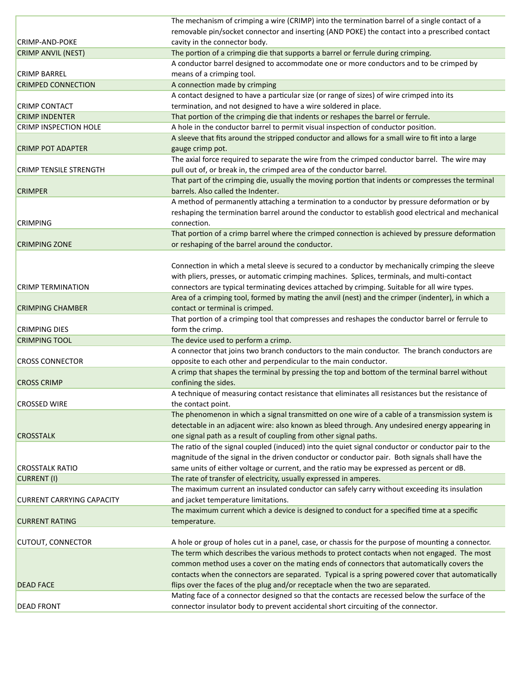|                                  | The mechanism of crimping a wire (CRIMP) into the termination barrel of a single contact of a      |
|----------------------------------|----------------------------------------------------------------------------------------------------|
|                                  | removable pin/socket connector and inserting (AND POKE) the contact into a prescribed contact      |
| <b>CRIMP-AND-POKE</b>            | cavity in the connector body.                                                                      |
| <b>CRIMP ANVIL (NEST)</b>        | The portion of a crimping die that supports a barrel or ferrule during crimping.                   |
|                                  | A conductor barrel designed to accommodate one or more conductors and to be crimped by             |
| <b>CRIMP BARREL</b>              | means of a crimping tool.                                                                          |
| <b>CRIMPED CONNECTION</b>        | A connection made by crimping                                                                      |
|                                  | A contact designed to have a particular size (or range of sizes) of wire crimped into its          |
| <b>CRIMP CONTACT</b>             | termination, and not designed to have a wire soldered in place.                                    |
| <b>CRIMP INDENTER</b>            | That portion of the crimping die that indents or reshapes the barrel or ferrule.                   |
| <b>CRIMP INSPECTION HOLE</b>     | A hole in the conductor barrel to permit visual inspection of conductor position.                  |
|                                  | A sleeve that fits around the stripped conductor and allows for a small wire to fit into a large   |
| <b>CRIMP POT ADAPTER</b>         | gauge crimp pot.                                                                                   |
|                                  | The axial force required to separate the wire from the crimped conductor barrel. The wire may      |
| <b>CRIMP TENSILE STRENGTH</b>    | pull out of, or break in, the crimped area of the conductor barrel.                                |
|                                  | That part of the crimping die, usually the moving portion that indents or compresses the terminal  |
| <b>CRIMPER</b>                   | barrels. Also called the Indenter.                                                                 |
|                                  | A method of permanently attaching a termination to a conductor by pressure deformation or by       |
|                                  | reshaping the termination barrel around the conductor to establish good electrical and mechanical  |
| <b>CRIMPING</b>                  | connection.                                                                                        |
|                                  | That portion of a crimp barrel where the crimped connection is achieved by pressure deformation    |
| <b>CRIMPING ZONE</b>             | or reshaping of the barrel around the conductor.                                                   |
|                                  |                                                                                                    |
|                                  | Connection in which a metal sleeve is secured to a conductor by mechanically crimping the sleeve   |
|                                  | with pliers, presses, or automatic crimping machines. Splices, terminals, and multi-contact        |
| <b>CRIMP TERMINATION</b>         | connectors are typical terminating devices attached by crimping. Suitable for all wire types.      |
|                                  | Area of a crimping tool, formed by mating the anvil (nest) and the crimper (indenter), in which a  |
| <b>CRIMPING CHAMBER</b>          | contact or terminal is crimped.                                                                    |
|                                  | That portion of a crimping tool that compresses and reshapes the conductor barrel or ferrule to    |
| <b>CRIMPING DIES</b>             | form the crimp.                                                                                    |
| <b>CRIMPING TOOL</b>             | The device used to perform a crimp.                                                                |
|                                  | A connector that joins two branch conductors to the main conductor. The branch conductors are      |
| <b>CROSS CONNECTOR</b>           | opposite to each other and perpendicular to the main conductor.                                    |
|                                  | A crimp that shapes the terminal by pressing the top and bottom of the terminal barrel without     |
| <b>CROSS CRIMP</b>               | confining the sides.                                                                               |
|                                  | A technique of measuring contact resistance that eliminates all resistances but the resistance of  |
| <b>CROSSED WIRE</b>              | the contact point.                                                                                 |
|                                  | The phenomenon in which a signal transmitted on one wire of a cable of a transmission system is    |
|                                  | detectable in an adjacent wire: also known as bleed through. Any undesired energy appearing in     |
| <b>CROSSTALK</b>                 | one signal path as a result of coupling from other signal paths.                                   |
|                                  | The ratio of the signal coupled (induced) into the quiet signal conductor or conductor pair to the |
|                                  | magnitude of the signal in the driven conductor or conductor pair. Both signals shall have the     |
| <b>CROSSTALK RATIO</b>           | same units of either voltage or current, and the ratio may be expressed as percent or dB.          |
| CURRENT (I)                      | The rate of transfer of electricity, usually expressed in amperes.                                 |
|                                  | The maximum current an insulated conductor can safely carry without exceeding its insulation       |
| <b>CURRENT CARRYING CAPACITY</b> | and jacket temperature limitations.                                                                |
|                                  | The maximum current which a device is designed to conduct for a specified time at a specific       |
| <b>CURRENT RATING</b>            | temperature.                                                                                       |
|                                  |                                                                                                    |
| <b>CUTOUT, CONNECTOR</b>         | A hole or group of holes cut in a panel, case, or chassis for the purpose of mounting a connector. |
|                                  | The term which describes the various methods to protect contacts when not engaged. The most        |
|                                  | common method uses a cover on the mating ends of connectors that automatically covers the          |
|                                  | contacts when the connectors are separated. Typical is a spring powered cover that automatically   |
| <b>DEAD FACE</b>                 | flips over the faces of the plug and/or receptacle when the two are separated.                     |
|                                  | Mating face of a connector designed so that the contacts are recessed below the surface of the     |
| <b>DEAD FRONT</b>                | connector insulator body to prevent accidental short circuiting of the connector.                  |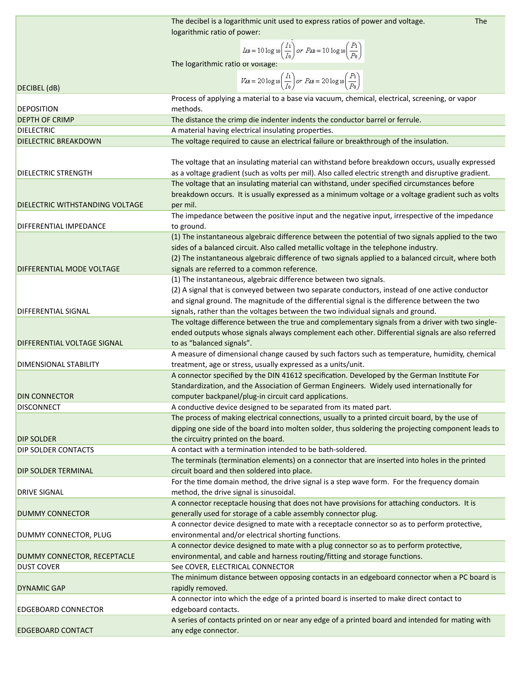|                                 | The decibel is a logarithmic unit used to express ratios of power and voltage.<br><b>The</b>                               |
|---------------------------------|----------------------------------------------------------------------------------------------------------------------------|
|                                 | logarithmic ratio of power:                                                                                                |
|                                 |                                                                                                                            |
|                                 | $I_{\text{dB}} = 10 \log \log \left(\frac{I_1}{I_0}\right)$ or $P_{\text{dB}} = 10 \log \log \left(\frac{P_1}{P_0}\right)$ |
|                                 | The logarithmic ratio or voltage:                                                                                          |
|                                 | $V_{dB} = 20 \log 10 \left(\frac{I_1}{I_0}\right)$ or $P_{dB} = 20 \log 10 \left(\frac{P_1}{P_0}\right)$                   |
| DECIBEL (dB)                    |                                                                                                                            |
|                                 | Process of applying a material to a base via vacuum, chemical, electrical, screening, or vapor                             |
| <b>DEPOSITION</b>               | methods.                                                                                                                   |
| <b>DEPTH OF CRIMP</b>           | The distance the crimp die indenter indents the conductor barrel or ferrule.                                               |
| <b>DIELECTRIC</b>               | A material having electrical insulating properties.                                                                        |
| <b>DIELECTRIC BREAKDOWN</b>     | The voltage required to cause an electrical failure or breakthrough of the insulation.                                     |
|                                 |                                                                                                                            |
|                                 | The voltage that an insulating material can withstand before breakdown occurs, usually expressed                           |
| <b>DIELECTRIC STRENGTH</b>      | as a voltage gradient (such as volts per mil). Also called electric strength and disruptive gradient.                      |
|                                 | The voltage that an insulating material can withstand, under specified circumstances before                                |
|                                 | breakdown occurs. It is usually expressed as a minimum voltage or a voltage gradient such as volts                         |
| DIELECTRIC WITHSTANDING VOLTAGE | per mil.                                                                                                                   |
|                                 | The impedance between the positive input and the negative input, irrespective of the impedance                             |
| DIFFERENTIAL IMPEDANCE          | to ground.                                                                                                                 |
|                                 | (1) The instantaneous algebraic difference between the potential of two signals applied to the two                         |
|                                 | sides of a balanced circuit. Also called metallic voltage in the telephone industry.                                       |
|                                 | (2) The instantaneous algebraic difference of two signals applied to a balanced circuit, where both                        |
| DIFFERENTIAL MODE VOLTAGE       | signals are referred to a common reference.                                                                                |
|                                 | (1) The instantaneous, algebraic difference between two signals.                                                           |
|                                 | (2) A signal that is conveyed between two separate conductors, instead of one active conductor                             |
|                                 | and signal ground. The magnitude of the differential signal is the difference between the two                              |
| <b>DIFFERENTIAL SIGNAL</b>      | signals, rather than the voltages between the two individual signals and ground.                                           |
|                                 | The voltage difference between the true and complementary signals from a driver with two single-                           |
|                                 | ended outputs whose signals always complement each other. Differential signals are also referred                           |
| DIFFERENTIAL VOLTAGE SIGNAL     | to as "balanced signals".                                                                                                  |
|                                 | A measure of dimensional change caused by such factors such as temperature, humidity, chemical                             |
| DIMENSIONAL STABILITY           | treatment, age or stress, usually expressed as a units/unit.                                                               |
|                                 | A connector specified by the DIN 41612 specification. Developed by the German Institute For                                |
|                                 | Standardization, and the Association of German Engineers. Widely used internationally for                                  |
| <b>DIN CONNECTOR</b>            | computer backpanel/plug-in circuit card applications.                                                                      |
| <b>DISCONNECT</b>               | A conductive device designed to be separated from its mated part.                                                          |
|                                 | The process of making electrical connections, usually to a printed circuit board, by the use of                            |
|                                 | dipping one side of the board into molten solder, thus soldering the projecting component leads to                         |
| <b>DIP SOLDER</b>               | the circuitry printed on the board.                                                                                        |
| <b>DIP SOLDER CONTACTS</b>      | A contact with a termination intended to be bath-soldered.                                                                 |
|                                 | The terminals (termination elements) on a connector that are inserted into holes in the printed                            |
| <b>DIP SOLDER TERMINAL</b>      | circuit board and then soldered into place.                                                                                |
|                                 | For the time domain method, the drive signal is a step wave form. For the frequency domain                                 |
| <b>DRIVE SIGNAL</b>             | method, the drive signal is sinusoidal.                                                                                    |
|                                 | A connector receptacle housing that does not have provisions for attaching conductors. It is                               |
| <b>DUMMY CONNECTOR</b>          | generally used for storage of a cable assembly connector plug.                                                             |
|                                 | A connector device designed to mate with a receptacle connector so as to perform protective,                               |
| DUMMY CONNECTOR, PLUG           | environmental and/or electrical shorting functions.                                                                        |
|                                 | A connector device designed to mate with a plug connector so as to perform protective,                                     |
| DUMMY CONNECTOR, RECEPTACLE     | environmental, and cable and harness routing/fitting and storage functions.                                                |
| <b>DUST COVER</b>               | See COVER, ELECTRICAL CONNECTOR                                                                                            |
|                                 | The minimum distance between opposing contacts in an edgeboard connector when a PC board is                                |
| <b>DYNAMIC GAP</b>              | rapidly removed.                                                                                                           |
|                                 | A connector into which the edge of a printed board is inserted to make direct contact to                                   |
| <b>EDGEBOARD CONNECTOR</b>      | edgeboard contacts.                                                                                                        |
|                                 | A series of contacts printed on or near any edge of a printed board and intended for mating with                           |
| <b>EDGEBOARD CONTACT</b>        | any edge connector.                                                                                                        |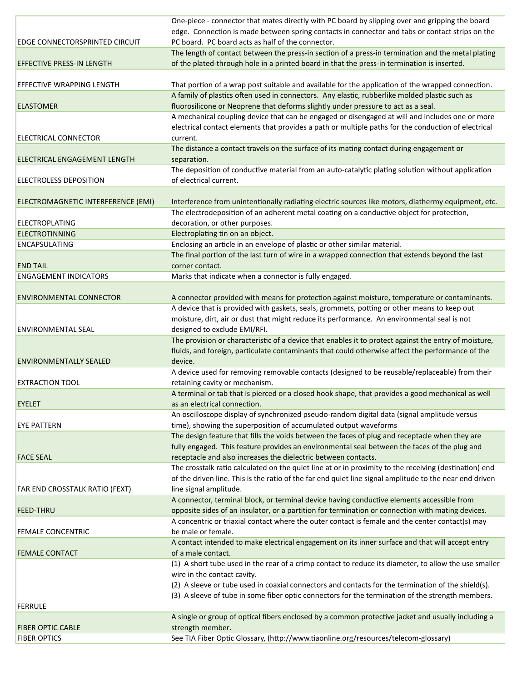|                                       | One-piece - connector that mates directly with PC board by slipping over and gripping the board         |
|---------------------------------------|---------------------------------------------------------------------------------------------------------|
|                                       | edge. Connection is made between spring contacts in connector and tabs or contact strips on the         |
| <b>EDGE CONNECTORSPRINTED CIRCUIT</b> | PC board. PC board acts as half of the connector.                                                       |
|                                       | The length of contact between the press-in section of a press-in termination and the metal plating      |
| <b>EFFECTIVE PRESS-IN LENGTH</b>      | of the plated-through hole in a printed board in that the press-in termination is inserted.             |
|                                       |                                                                                                         |
| <b>EFFECTIVE WRAPPING LENGTH</b>      | That portion of a wrap post suitable and available for the application of the wrapped connection.       |
|                                       | A family of plastics often used in connectors. Any elastic, rubberlike molded plastic such as           |
| <b>ELASTOMER</b>                      | fluorosilicone or Neoprene that deforms slightly under pressure to act as a seal.                       |
|                                       | A mechanical coupling device that can be engaged or disengaged at will and includes one or more         |
|                                       | electrical contact elements that provides a path or multiple paths for the conduction of electrical     |
| ELECTRICAL CONNECTOR                  | current.                                                                                                |
|                                       | The distance a contact travels on the surface of its mating contact during engagement or                |
| <b>ELECTRICAL ENGAGEMENT LENGTH</b>   | separation.                                                                                             |
|                                       | The deposition of conductive material from an auto-catalytic plating solution without application       |
| <b>ELECTROLESS DEPOSITION</b>         | of electrical current.                                                                                  |
|                                       |                                                                                                         |
| ELECTROMAGNETIC INTERFERENCE (EMI)    | Interference from unintentionally radiating electric sources like motors, diathermy equipment, etc.     |
|                                       | The electrodeposition of an adherent metal coating on a conductive object for protection,               |
| <b>ELECTROPLATING</b>                 | decoration, or other purposes.                                                                          |
| <b>ELECTROTINNING</b>                 | Electroplating tin on an object.                                                                        |
| <b>ENCAPSULATING</b>                  | Enclosing an article in an envelope of plastic or other similar material.                               |
|                                       | The final portion of the last turn of wire in a wrapped connection that extends beyond the last         |
| <b>END TAIL</b>                       | corner contact.                                                                                         |
| <b>ENGAGEMENT INDICATORS</b>          | Marks that indicate when a connector is fully engaged.                                                  |
|                                       |                                                                                                         |
| <b>ENVIRONMENTAL CONNECTOR</b>        | A connector provided with means for protection against moisture, temperature or contaminants.           |
|                                       | A device that is provided with gaskets, seals, grommets, potting or other means to keep out             |
|                                       | moisture, dirt, air or dust that might reduce its performance. An environmental seal is not             |
| <b>ENVIRONMENTAL SEAL</b>             | designed to exclude EMI/RFI.                                                                            |
|                                       | The provision or characteristic of a device that enables it to protect against the entry of moisture,   |
|                                       | fluids, and foreign, particulate contaminants that could otherwise affect the performance of the        |
| <b>ENVIRONMENTALLY SEALED</b>         | device.                                                                                                 |
|                                       | A device used for removing removable contacts (designed to be reusable/replaceable) from their          |
| <b>EXTRACTION TOOL</b>                | retaining cavity or mechanism.                                                                          |
|                                       | A terminal or tab that is pierced or a closed hook shape, that provides a good mechanical as well       |
| <b>EYELET</b>                         | as an electrical connection.                                                                            |
|                                       | An oscilloscope display of synchronized pseudo-random digital data (signal amplitude versus             |
| <b>EYE PATTERN</b>                    | time), showing the superposition of accumulated output waveforms                                        |
|                                       | The design feature that fills the voids between the faces of plug and receptacle when they are          |
|                                       | fully engaged. This feature provides an environmental seal between the faces of the plug and            |
| <b>FACE SEAL</b>                      | receptacle and also increases the dielectric between contacts.                                          |
|                                       | The crosstalk ratio calculated on the quiet line at or in proximity to the receiving (destination) end  |
|                                       | of the driven line. This is the ratio of the far end quiet line signal amplitude to the near end driven |
| FAR END CROSSTALK RATIO (FEXT)        | line signal amplitude.                                                                                  |
|                                       | A connector, terminal block, or terminal device having conductive elements accessible from              |
| <b>FEED-THRU</b>                      | opposite sides of an insulator, or a partition for termination or connection with mating devices.       |
|                                       | A concentric or triaxial contact where the outer contact is female and the center contact(s) may        |
| <b>FEMALE CONCENTRIC</b>              | be male or female.                                                                                      |
|                                       | A contact intended to make electrical engagement on its inner surface and that will accept entry        |
| <b>FEMALE CONTACT</b>                 | of a male contact.                                                                                      |
|                                       | (1) A short tube used in the rear of a crimp contact to reduce its diameter, to allow the use smaller   |
|                                       | wire in the contact cavity.                                                                             |
|                                       | (2) A sleeve or tube used in coaxial connectors and contacts for the termination of the shield(s).      |
|                                       | (3) A sleeve of tube in some fiber optic connectors for the termination of the strength members.        |
| FERRULE                               |                                                                                                         |
|                                       | A single or group of optical fibers enclosed by a common protective jacket and usually including a      |
| <b>FIBER OPTIC CABLE</b>              | strength member.                                                                                        |
| <b>FIBER OPTICS</b>                   | See TIA Fiber Optic Glossary, (http://www.tiaonline.org/resources/telecom-glossary)                     |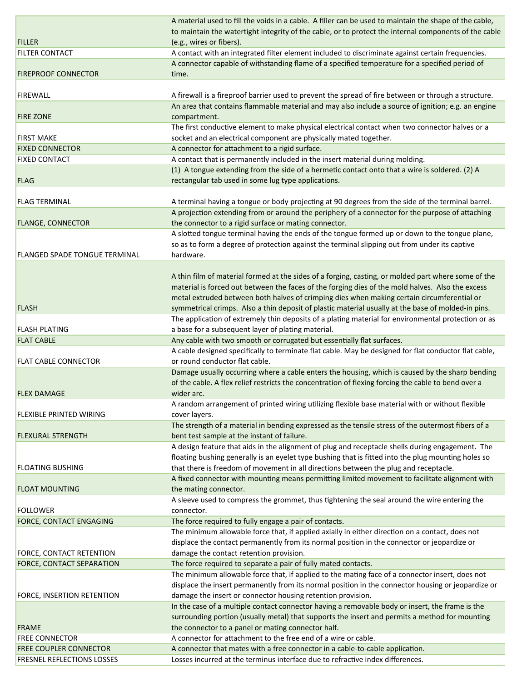|                                      | A material used to fill the voids in a cable. A filler can be used to maintain the shape of the cable,          |
|--------------------------------------|-----------------------------------------------------------------------------------------------------------------|
|                                      | to maintain the watertight integrity of the cable, or to protect the internal components of the cable           |
| <b>FILLER</b>                        | (e.g., wires or fibers).                                                                                        |
| <b>FILTER CONTACT</b>                | A contact with an integrated filter element included to discriminate against certain frequencies.               |
|                                      | A connector capable of withstanding flame of a specified temperature for a specified period of                  |
| <b>FIREPROOF CONNECTOR</b>           | time.                                                                                                           |
|                                      |                                                                                                                 |
| <b>FIREWALL</b>                      | A firewall is a fireproof barrier used to prevent the spread of fire between or through a structure.            |
|                                      | An area that contains flammable material and may also include a source of ignition; e.g. an engine              |
| <b>FIRE ZONE</b>                     |                                                                                                                 |
|                                      | compartment.<br>The first conductive element to make physical electrical contact when two connector halves or a |
|                                      |                                                                                                                 |
| <b>FIRST MAKE</b>                    | socket and an electrical component are physically mated together.                                               |
| <b>FIXED CONNECTOR</b>               | A connector for attachment to a rigid surface.                                                                  |
| <b>FIXED CONTACT</b>                 | A contact that is permanently included in the insert material during molding.                                   |
|                                      | (1) A tongue extending from the side of a hermetic contact onto that a wire is soldered. (2) A                  |
| <b>FLAG</b>                          | rectangular tab used in some lug type applications.                                                             |
|                                      |                                                                                                                 |
| <b>FLAG TERMINAL</b>                 | A terminal having a tongue or body projecting at 90 degrees from the side of the terminal barrel.               |
|                                      | A projection extending from or around the periphery of a connector for the purpose of attaching                 |
| <b>FLANGE, CONNECTOR</b>             | the connector to a rigid surface or mating connector.                                                           |
|                                      | A slotted tongue terminal having the ends of the tongue formed up or down to the tongue plane,                  |
|                                      | so as to form a degree of protection against the terminal slipping out from under its captive                   |
| <b>FLANGED SPADE TONGUE TERMINAL</b> | hardware.                                                                                                       |
|                                      |                                                                                                                 |
|                                      | A thin film of material formed at the sides of a forging, casting, or molded part where some of the             |
|                                      | material is forced out between the faces of the forging dies of the mold halves. Also the excess                |
|                                      | metal extruded between both halves of crimping dies when making certain circumferential or                      |
| <b>FLASH</b>                         | symmetrical crimps. Also a thin deposit of plastic material usually at the base of molded-in pins.              |
|                                      | The application of extremely thin deposits of a plating material for environmental protection or as             |
| <b>FLASH PLATING</b>                 | a base for a subsequent layer of plating material.                                                              |
| <b>FLAT CABLE</b>                    | Any cable with two smooth or corrugated but essentially flat surfaces.                                          |
|                                      | A cable designed specifically to terminate flat cable. May be designed for flat conductor flat cable,           |
| <b>FLAT CABLE CONNECTOR</b>          | or round conductor flat cable.                                                                                  |
|                                      | Damage usually occurring where a cable enters the housing, which is caused by the sharp bending                 |
|                                      | of the cable. A flex relief restricts the concentration of flexing forcing the cable to bend over a             |
| <b>FLEX DAMAGE</b>                   | wider arc.                                                                                                      |
|                                      | A random arrangement of printed wiring utilizing flexible base material with or without flexible                |
| <b>FLEXIBLE PRINTED WIRING</b>       | cover layers.                                                                                                   |
|                                      | The strength of a material in bending expressed as the tensile stress of the outermost fibers of a              |
| <b>FLEXURAL STRENGTH</b>             | bent test sample at the instant of failure.                                                                     |
|                                      |                                                                                                                 |
|                                      | A design feature that aids in the alignment of plug and receptacle shells during engagement. The                |
|                                      | floating bushing generally is an eyelet type bushing that is fitted into the plug mounting holes so             |
| <b>FLOATING BUSHING</b>              | that there is freedom of movement in all directions between the plug and receptacle.                            |
|                                      | A fixed connector with mounting means permitting limited movement to facilitate alignment with                  |
| <b>FLOAT MOUNTING</b>                | the mating connector.                                                                                           |
|                                      | A sleeve used to compress the grommet, thus tightening the seal around the wire entering the                    |
| <b>FOLLOWER</b>                      | connector.                                                                                                      |
| <b>FORCE, CONTACT ENGAGING</b>       | The force required to fully engage a pair of contacts.                                                          |
|                                      | The minimum allowable force that, if applied axially in either direction on a contact, does not                 |
|                                      | displace the contact permanently from its normal position in the connector or jeopardize or                     |
| <b>FORCE, CONTACT RETENTION</b>      | damage the contact retention provision.                                                                         |
| FORCE, CONTACT SEPARATION            | The force required to separate a pair of fully mated contacts.                                                  |
|                                      | The minimum allowable force that, if applied to the mating face of a connector insert, does not                 |
|                                      | displace the insert permanently from its normal position in the connector housing or jeopardize or              |
| FORCE, INSERTION RETENTION           | damage the insert or connector housing retention provision.                                                     |
|                                      | In the case of a multiple contact connector having a removable body or insert, the frame is the                 |
|                                      | surrounding portion (usually metal) that supports the insert and permits a method for mounting                  |
| <b>FRAME</b>                         | the connector to a panel or mating connector half.                                                              |
| <b>FREE CONNECTOR</b>                | A connector for attachment to the free end of a wire or cable.                                                  |
| <b>FREE COUPLER CONNECTOR</b>        | A connector that mates with a free connector in a cable-to-cable application.                                   |
| FRESNEL REFLECTIONS LOSSES           | Losses incurred at the terminus interface due to refractive index differences.                                  |
|                                      |                                                                                                                 |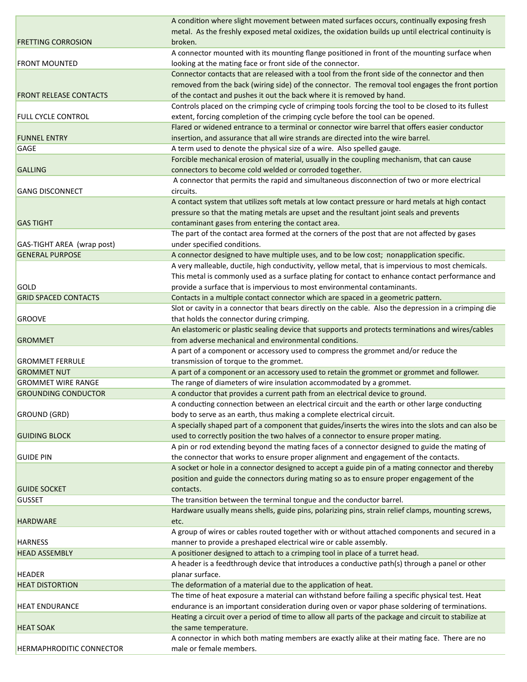|                                 | A condition where slight movement between mated surfaces occurs, continually exposing fresh                                                          |
|---------------------------------|------------------------------------------------------------------------------------------------------------------------------------------------------|
|                                 | metal. As the freshly exposed metal oxidizes, the oxidation builds up until electrical continuity is                                                 |
| <b>FRETTING CORROSION</b>       | broken.                                                                                                                                              |
|                                 | A connector mounted with its mounting flange positioned in front of the mounting surface when                                                        |
| <b>FRONT MOUNTED</b>            | looking at the mating face or front side of the connector.                                                                                           |
|                                 | Connector contacts that are released with a tool from the front side of the connector and then                                                       |
|                                 | removed from the back (wiring side) of the connector. The removal tool engages the front portion                                                     |
| <b>FRONT RELEASE CONTACTS</b>   | of the contact and pushes it out the back where it is removed by hand.                                                                               |
|                                 | Controls placed on the crimping cycle of crimping tools forcing the tool to be closed to its fullest                                                 |
| <b>FULL CYCLE CONTROL</b>       | extent, forcing completion of the crimping cycle before the tool can be opened.                                                                      |
|                                 | Flared or widened entrance to a terminal or connector wire barrel that offers easier conductor                                                       |
| <b>FUNNEL ENTRY</b>             | insertion, and assurance that all wire strands are directed into the wire barrel.                                                                    |
| <b>GAGE</b>                     | A term used to denote the physical size of a wire. Also spelled gauge.                                                                               |
| <b>GALLING</b>                  | Forcible mechanical erosion of material, usually in the coupling mechanism, that can cause<br>connectors to become cold welded or corroded together. |
|                                 | A connector that permits the rapid and simultaneous disconnection of two or more electrical                                                          |
| <b>GANG DISCONNECT</b>          | circuits.                                                                                                                                            |
|                                 | A contact system that utilizes soft metals at low contact pressure or hard metals at high contact                                                    |
|                                 | pressure so that the mating metals are upset and the resultant joint seals and prevents                                                              |
| <b>GAS TIGHT</b>                | contaminant gases from entering the contact area.                                                                                                    |
|                                 | The part of the contact area formed at the corners of the post that are not affected by gases                                                        |
| GAS-TIGHT AREA (wrap post)      | under specified conditions.                                                                                                                          |
| <b>GENERAL PURPOSE</b>          | A connector designed to have multiple uses, and to be low cost; nonapplication specific.                                                             |
|                                 | A very malleable, ductile, high conductivity, yellow metal, that is impervious to most chemicals.                                                    |
|                                 | This metal is commonly used as a surface plating for contact to enhance contact performance and                                                      |
| GOLD                            | provide a surface that is impervious to most environmental contaminants.                                                                             |
| <b>GRID SPACED CONTACTS</b>     | Contacts in a multiple contact connector which are spaced in a geometric pattern.                                                                    |
|                                 | Slot or cavity in a connector that bears directly on the cable. Also the depression in a crimping die                                                |
| <b>GROOVE</b>                   | that holds the connector during crimping.                                                                                                            |
|                                 | An elastomeric or plastic sealing device that supports and protects terminations and wires/cables                                                    |
| <b>GROMMET</b>                  | from adverse mechanical and environmental conditions.                                                                                                |
|                                 | A part of a component or accessory used to compress the grommet and/or reduce the                                                                    |
| <b>GROMMET FERRULE</b>          | transmission of torque to the grommet.                                                                                                               |
| <b>GROMMET NUT</b>              | A part of a component or an accessory used to retain the grommet or grommet and follower.                                                            |
| <b>GROMMET WIRE RANGE</b>       | The range of diameters of wire insulation accommodated by a grommet.                                                                                 |
| <b>GROUNDING CONDUCTOR</b>      | A conductor that provides a current path from an electrical device to ground.                                                                        |
|                                 | A conducting connection between an electrical circuit and the earth or other large conducting                                                        |
| <b>GROUND (GRD)</b>             | body to serve as an earth, thus making a complete electrical circuit.                                                                                |
|                                 | A specially shaped part of a component that guides/inserts the wires into the slots and can also be                                                  |
| <b>GUIDING BLOCK</b>            | used to correctly position the two halves of a connector to ensure proper mating.                                                                    |
|                                 | A pin or rod extending beyond the mating faces of a connector designed to guide the mating of                                                        |
| <b>GUIDE PIN</b>                | the connector that works to ensure proper alignment and engagement of the contacts.                                                                  |
|                                 | A socket or hole in a connector designed to accept a guide pin of a mating connector and thereby                                                     |
|                                 | position and guide the connectors during mating so as to ensure proper engagement of the                                                             |
| <b>GUIDE SOCKET</b>             | contacts.                                                                                                                                            |
| <b>GUSSET</b>                   | The transition between the terminal tongue and the conductor barrel.                                                                                 |
|                                 | Hardware usually means shells, guide pins, polarizing pins, strain relief clamps, mounting screws,                                                   |
| <b>HARDWARE</b>                 | etc.                                                                                                                                                 |
|                                 | A group of wires or cables routed together with or without attached components and secured in a                                                      |
| <b>HARNESS</b>                  | manner to provide a preshaped electrical wire or cable assembly.                                                                                     |
| <b>HEAD ASSEMBLY</b>            | A positioner designed to attach to a crimping tool in place of a turret head.                                                                        |
|                                 | A header is a feedthrough device that introduces a conductive path(s) through a panel or other                                                       |
| <b>HEADER</b>                   | planar surface.                                                                                                                                      |
| <b>HEAT DISTORTION</b>          | The deformation of a material due to the application of heat.                                                                                        |
|                                 | The time of heat exposure a material can withstand before failing a specific physical test. Heat                                                     |
| <b>HEAT ENDURANCE</b>           | endurance is an important consideration during oven or vapor phase soldering of terminations.                                                        |
|                                 | Heating a circuit over a period of time to allow all parts of the package and circuit to stabilize at                                                |
| <b>HEAT SOAK</b>                | the same temperature.                                                                                                                                |
|                                 | A connector in which both mating members are exactly alike at their mating face. There are no                                                        |
| <b>HERMAPHRODITIC CONNECTOR</b> | male or female members.                                                                                                                              |
|                                 |                                                                                                                                                      |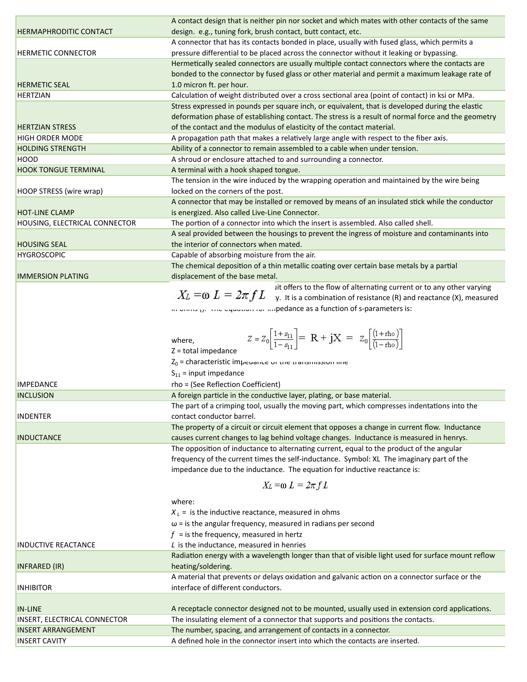|                                         | A contact design that is neither pin nor socket and which mates with other contacts of the same                                                                           |
|-----------------------------------------|---------------------------------------------------------------------------------------------------------------------------------------------------------------------------|
| <b>HERMAPHRODITIC CONTACT</b>           | design. e.g., tuning fork, brush contact, butt contact, etc.                                                                                                              |
|                                         | A connector that has its contacts bonded in place, usually with fused glass, which permits a                                                                              |
| <b>HERMETIC CONNECTOR</b>               | pressure differential to be placed across the connector without it leaking or bypassing.                                                                                  |
|                                         | Hermetically sealed connectors are usually multiple contact connectors where the contacts are                                                                             |
|                                         | bonded to the connector by fused glass or other material and permit a maximum leakage rate of<br>1.0 micron ft. per hour.                                                 |
| <b>HERMETIC SEAL</b><br><b>HERTZIAN</b> | Calculation of weight distributed over a cross sectional area (point of contact) in ksi or MPa.                                                                           |
|                                         | Stress expressed in pounds per square inch, or equivalent, that is developed during the elastic                                                                           |
|                                         | deformation phase of establishing contact. The stress is a result of normal force and the geometry                                                                        |
| <b>HERTZIAN STRESS</b>                  | of the contact and the modulus of elasticity of the contact material.                                                                                                     |
| <b>HIGH ORDER MODE</b>                  | A propagation path that makes a relatively large angle with respect to the fiber axis.                                                                                    |
| <b>HOLDING STRENGTH</b>                 | Ability of a connector to remain assembled to a cable when under tension.                                                                                                 |
| <b>HOOD</b>                             | A shroud or enclosure attached to and surrounding a connector.                                                                                                            |
| <b>HOOK TONGUE TERMINAL</b>             | A terminal with a hook shaped tongue.                                                                                                                                     |
|                                         | The tension in the wire induced by the wrapping operation and maintained by the wire being                                                                                |
| HOOP STRESS (wire wrap)                 | locked on the corners of the post.                                                                                                                                        |
|                                         | A connector that may be installed or removed by means of an insulated stick while the conductor                                                                           |
| <b>HOT-LINE CLAMP</b>                   | is energized. Also called Live-Line Connector.                                                                                                                            |
| HOUSING, ELECTRICAL CONNECTOR           | The portion of a connector into which the insert is assembled. Also called shell.                                                                                         |
|                                         | A seal provided between the housings to prevent the ingress of moisture and contaminants into                                                                             |
| <b>HOUSING SEAL</b>                     | the interior of connectors when mated.                                                                                                                                    |
| <b>HYGROSCOPIC</b>                      | Capable of absorbing moisture from the air.                                                                                                                               |
|                                         | The chemical deposition of a thin metallic coating over certain base metals by a partial                                                                                  |
| <b>IMMERSION PLATING</b>                | displacement of the base metal.                                                                                                                                           |
|                                         | iit offers to the flow of alternating current or to any other varying<br>$X_L = \omega L = 2\pi f L$ y. It is a combination of resistance (R) and reactance (X), measured |
|                                         |                                                                                                                                                                           |
|                                         | in orms (j. The equation for impedance as a function of s-parameters is:                                                                                                  |
|                                         |                                                                                                                                                                           |
|                                         | $Z = Z_0 \left  \frac{1 + s_{11}}{1 - s_{11}} \right  = R + jX = Z_0 \left[ \frac{(1 + rho)}{(1 - rho)} \right]$                                                          |
|                                         | where,<br>$Z =$ total impedance                                                                                                                                           |
|                                         | $Z_0$ = characteristic imperance or the transmission inte                                                                                                                 |
|                                         | $S_{11}$ = input impedance                                                                                                                                                |
| <b>IMPEDANCE</b>                        | rho = (See Reflection Coefficient)                                                                                                                                        |
| <b>INCLUSION</b>                        | A foreign particle in the conductive layer, plating, or base material.                                                                                                    |
|                                         | The part of a crimping tool, usually the moving part, which compresses indentations into the                                                                              |
| <b>INDENTER</b>                         | contact conductor barrel.                                                                                                                                                 |
|                                         | The property of a circuit or circuit element that opposes a change in current flow. Inductance                                                                            |
| <b>INDUCTANCE</b>                       | causes current changes to lag behind voltage changes. Inductance is measured in henrys.                                                                                   |
|                                         | The opposition of inductance to alternating current, equal to the product of the angular                                                                                  |
|                                         | frequency of the current times the self-inductance. Symbol: XL The imaginary part of the                                                                                  |
|                                         | impedance due to the inductance. The equation for inductive reactance is:                                                                                                 |
|                                         |                                                                                                                                                                           |
|                                         | $X_L = \omega L = 2\pi fL$                                                                                                                                                |
|                                         | where:                                                                                                                                                                    |
|                                         | $X_L$ = is the inductive reactance, measured in ohms                                                                                                                      |
|                                         | $\omega$ = is the angular frequency, measured in radians per second                                                                                                       |
|                                         | $f =$ is the frequency, measured in hertz                                                                                                                                 |
| <b>INDUCTIVE REACTANCE</b>              | $L$ is the inductance, measured in henries                                                                                                                                |
|                                         | Radiation energy with a wavelength longer than that of visible light used for surface mount reflow                                                                        |
| INFRARED (IR)                           | heating/soldering.                                                                                                                                                        |
|                                         | A material that prevents or delays oxidation and galvanic action on a connector surface or the                                                                            |
| <b>INHIBITOR</b>                        | interface of different conductors.                                                                                                                                        |
|                                         |                                                                                                                                                                           |
| <b>IN-LINE</b>                          | A receptacle connector designed not to be mounted, usually used in extension cord applications.                                                                           |
| <b>INSERT, ELECTRICAL CONNECTOR</b>     | The insulating element of a connector that supports and positions the contacts.                                                                                           |
| <b>INSERT ARRANGEMENT</b>               | The number, spacing, and arrangement of contacts in a connector.                                                                                                          |
| <b>INSERT CAVITY</b>                    | A defined hole in the connector insert into which the contacts are inserted.                                                                                              |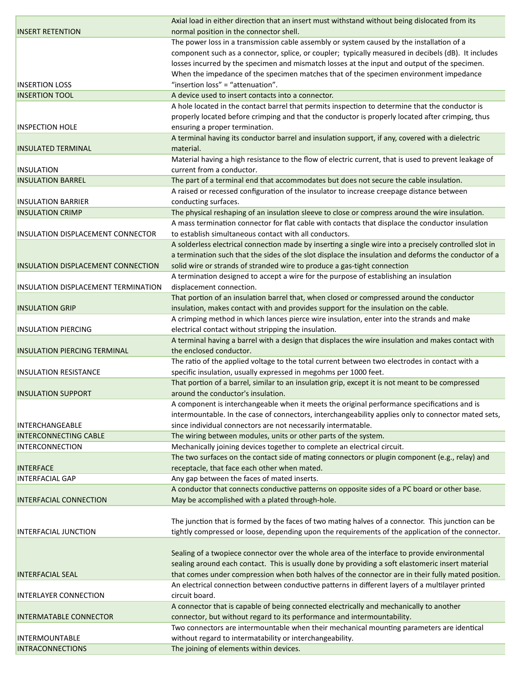|                                           | Axial load in either direction that an insert must withstand without being dislocated from its         |
|-------------------------------------------|--------------------------------------------------------------------------------------------------------|
| <b>INSERT RETENTION</b>                   | normal position in the connector shell.                                                                |
|                                           | The power loss in a transmission cable assembly or system caused by the installation of a              |
|                                           | component such as a connector, splice, or coupler; typically measured in decibels (dB). It includes    |
|                                           | losses incurred by the specimen and mismatch losses at the input and output of the specimen.           |
|                                           | When the impedance of the specimen matches that of the specimen environment impedance                  |
| <b>INSERTION LOSS</b>                     | "insertion loss" = "attenuation".                                                                      |
| <b>INSERTION TOOL</b>                     | A device used to insert contacts into a connector.                                                     |
|                                           | A hole located in the contact barrel that permits inspection to determine that the conductor is        |
|                                           | properly located before crimping and that the conductor is properly located after crimping, thus       |
| <b>INSPECTION HOLE</b>                    | ensuring a proper termination.                                                                         |
|                                           | A terminal having its conductor barrel and insulation support, if any, covered with a dielectric       |
| <b>INSULATED TERMINAL</b>                 | material.                                                                                              |
|                                           | Material having a high resistance to the flow of electric current, that is used to prevent leakage of  |
| <b>INSULATION</b>                         | current from a conductor.                                                                              |
| <b>INSULATION BARREL</b>                  | The part of a terminal end that accommodates but does not secure the cable insulation.                 |
|                                           | A raised or recessed configuration of the insulator to increase creepage distance between              |
| <b>INSULATION BARRIER</b>                 | conducting surfaces.                                                                                   |
| <b>INSULATION CRIMP</b>                   | The physical reshaping of an insulation sleeve to close or compress around the wire insulation.        |
|                                           | A mass termination connector for flat cable with contacts that displace the conductor insulation       |
| <b>INSULATION DISPLACEMENT CONNECTOR</b>  | to establish simultaneous contact with all conductors.                                                 |
|                                           | A solderless electrical connection made by inserting a single wire into a precisely controlled slot in |
|                                           | a termination such that the sides of the slot displace the insulation and deforms the conductor of a   |
| <b>INSULATION DISPLACEMENT CONNECTION</b> | solid wire or strands of stranded wire to produce a gas-tight connection                               |
|                                           | A termination designed to accept a wire for the purpose of establishing an insulation                  |
| INSULATION DISPLACEMENT TERMINATION       | displacement connection.                                                                               |
|                                           | That portion of an insulation barrel that, when closed or compressed around the conductor              |
| <b>INSULATION GRIP</b>                    | insulation, makes contact with and provides support for the insulation on the cable.                   |
|                                           |                                                                                                        |
|                                           | A crimping method in which lances pierce wire insulation, enter into the strands and make              |
| <b>INSULATION PIERCING</b>                | electrical contact without stripping the insulation.                                                   |
|                                           | A terminal having a barrel with a design that displaces the wire insulation and makes contact with     |
| <b>INSULATION PIERCING TERMINAL</b>       | the enclosed conductor.                                                                                |
|                                           | The ratio of the applied voltage to the total current between two electrodes in contact with a         |
| <b>INSULATION RESISTANCE</b>              | specific insulation, usually expressed in megohms per 1000 feet.                                       |
|                                           | That portion of a barrel, similar to an insulation grip, except it is not meant to be compressed       |
| <b>INSULATION SUPPORT</b>                 | around the conductor's insulation.                                                                     |
|                                           | A component is interchangeable when it meets the original performance specifications and is            |
|                                           | intermountable. In the case of connectors, interchangeability applies only to connector mated sets,    |
| <b>INTERCHANGEABLE</b>                    | since individual connectors are not necessarily intermatable.                                          |
| <b>INTERCONNECTING CABLE</b>              | The wiring between modules, units or other parts of the system.                                        |
| <b>INTERCONNECTION</b>                    | Mechanically joining devices together to complete an electrical circuit.                               |
|                                           | The two surfaces on the contact side of mating connectors or plugin component (e.g., relay) and        |
| <b>INTERFACE</b>                          | receptacle, that face each other when mated.                                                           |
| <b>INTERFACIAL GAP</b>                    | Any gap between the faces of mated inserts.                                                            |
|                                           | A conductor that connects conductive patterns on opposite sides of a PC board or other base.           |
| <b>INTERFACIAL CONNECTION</b>             | May be accomplished with a plated through-hole.                                                        |
|                                           |                                                                                                        |
|                                           | The junction that is formed by the faces of two mating halves of a connector. This junction can be     |
| <b>INTERFACIAL JUNCTION</b>               | tightly compressed or loose, depending upon the requirements of the application of the connector.      |
|                                           |                                                                                                        |
|                                           | Sealing of a twopiece connector over the whole area of the interface to provide environmental          |
|                                           | sealing around each contact. This is usually done by providing a soft elastomeric insert material      |
| <b>INTERFACIAL SEAL</b>                   | that comes under compression when both halves of the connector are in their fully mated position.      |
|                                           | An electrical connection between conductive patterns in different layers of a multilayer printed       |
| <b>INTERLAYER CONNECTION</b>              | circuit board.                                                                                         |
|                                           | A connector that is capable of being connected electrically and mechanically to another                |
| <b>INTERMATABLE CONNECTOR</b>             | connector, but without regard to its performance and intermountability.                                |
|                                           | Two connectors are intermountable when their mechanical mounting parameters are identical              |
| INTERMOUNTABLE                            | without regard to intermatability or interchangeability.                                               |
| <b>INTRACONNECTIONS</b>                   | The joining of elements within devices.                                                                |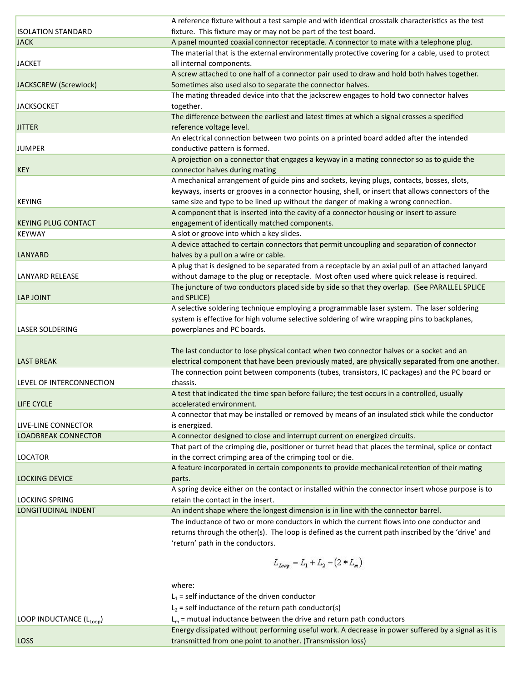|                            | A reference fixture without a test sample and with identical crosstalk characteristics as the test                                                                |
|----------------------------|-------------------------------------------------------------------------------------------------------------------------------------------------------------------|
| <b>ISOLATION STANDARD</b>  | fixture. This fixture may or may not be part of the test board.                                                                                                   |
| <b>JACK</b>                | A panel mounted coaxial connector receptacle. A connector to mate with a telephone plug.                                                                          |
|                            | The material that is the external environmentally protective covering for a cable, used to protect                                                                |
| <b>JACKET</b>              | all internal components.                                                                                                                                          |
|                            | A screw attached to one half of a connector pair used to draw and hold both halves together.                                                                      |
| JACKSCREW (Screwlock)      | Sometimes also used also to separate the connector halves.                                                                                                        |
|                            | The mating threaded device into that the jackscrew engages to hold two connector halves                                                                           |
| <b>JACKSOCKET</b>          | together.                                                                                                                                                         |
|                            | The difference between the earliest and latest times at which a signal crosses a specified                                                                        |
| <b>JITTER</b>              | reference voltage level.                                                                                                                                          |
|                            |                                                                                                                                                                   |
|                            | An electrical connection between two points on a printed board added after the intended                                                                           |
| <b>JUMPER</b>              | conductive pattern is formed.                                                                                                                                     |
|                            | A projection on a connector that engages a keyway in a mating connector so as to guide the                                                                        |
| <b>KEY</b>                 | connector halves during mating                                                                                                                                    |
|                            | A mechanical arrangement of guide pins and sockets, keying plugs, contacts, bosses, slots,                                                                        |
|                            | keyways, inserts or grooves in a connector housing, shell, or insert that allows connectors of the                                                                |
| <b>KEYING</b>              | same size and type to be lined up without the danger of making a wrong connection.                                                                                |
|                            | A component that is inserted into the cavity of a connector housing or insert to assure                                                                           |
| <b>KEYING PLUG CONTACT</b> | engagement of identically matched components.                                                                                                                     |
| <b>KEYWAY</b>              | A slot or groove into which a key slides.                                                                                                                         |
|                            | A device attached to certain connectors that permit uncoupling and separation of connector                                                                        |
| LANYARD                    | halves by a pull on a wire or cable.                                                                                                                              |
|                            | A plug that is designed to be separated from a receptacle by an axial pull of an attached lanyard                                                                 |
| LANYARD RELEASE            | without damage to the plug or receptacle. Most often used where quick release is required.                                                                        |
|                            | The juncture of two conductors placed side by side so that they overlap. (See PARALLEL SPLICE                                                                     |
| <b>LAP JOINT</b>           | and SPLICE)                                                                                                                                                       |
|                            |                                                                                                                                                                   |
|                            | A selective soldering technique employing a programmable laser system. The laser soldering                                                                        |
|                            | system is effective for high volume selective soldering of wire wrapping pins to backplanes,                                                                      |
|                            |                                                                                                                                                                   |
| <b>LASER SOLDERING</b>     | powerplanes and PC boards.                                                                                                                                        |
|                            |                                                                                                                                                                   |
|                            | The last conductor to lose physical contact when two connector halves or a socket and an                                                                          |
| <b>LAST BREAK</b>          | electrical component that have been previously mated, are physically separated from one another.                                                                  |
|                            | The connection point between components (tubes, transistors, IC packages) and the PC board or                                                                     |
| LEVEL OF INTERCONNECTION   | chassis.                                                                                                                                                          |
|                            | A test that indicated the time span before failure; the test occurs in a controlled, usually                                                                      |
| LIFE CYCLE                 | accelerated environment.                                                                                                                                          |
|                            | A connector that may be installed or removed by means of an insulated stick while the conductor                                                                   |
| LIVE-LINE CONNECTOR        | is energized.                                                                                                                                                     |
| <b>LOADBREAK CONNECTOR</b> | A connector designed to close and interrupt current on energized circuits.                                                                                        |
|                            |                                                                                                                                                                   |
| <b>LOCATOR</b>             | That part of the crimping die, positioner or turret head that places the terminal, splice or contact                                                              |
|                            | in the correct crimping area of the crimping tool or die.                                                                                                         |
|                            | A feature incorporated in certain components to provide mechanical retention of their mating                                                                      |
| <b>LOCKING DEVICE</b>      | parts.                                                                                                                                                            |
|                            | A spring device either on the contact or installed within the connector insert whose purpose is to                                                                |
| <b>LOCKING SPRING</b>      | retain the contact in the insert.                                                                                                                                 |
| LONGITUDINAL INDENT        | An indent shape where the longest dimension is in line with the connector barrel.                                                                                 |
|                            | The inductance of two or more conductors in which the current flows into one conductor and                                                                        |
|                            | returns through the other(s). The loop is defined as the current path inscribed by the 'drive' and                                                                |
|                            | 'return' path in the conductors.                                                                                                                                  |
|                            |                                                                                                                                                                   |
|                            | $L_{loop} = L_1 + L_2 - (2 * L_m)$                                                                                                                                |
|                            |                                                                                                                                                                   |
|                            | where:                                                                                                                                                            |
|                            | $L_1$ = self inductance of the driven conductor                                                                                                                   |
|                            |                                                                                                                                                                   |
|                            | $L_2$ = self inductance of the return path conductor(s)                                                                                                           |
| LOOP INDUCTANCE (LLoop)    | $L_m$ = mutual inductance between the drive and return path conductors                                                                                            |
| <b>LOSS</b>                | Energy dissipated without performing useful work. A decrease in power suffered by a signal as it is<br>transmitted from one point to another. (Transmission loss) |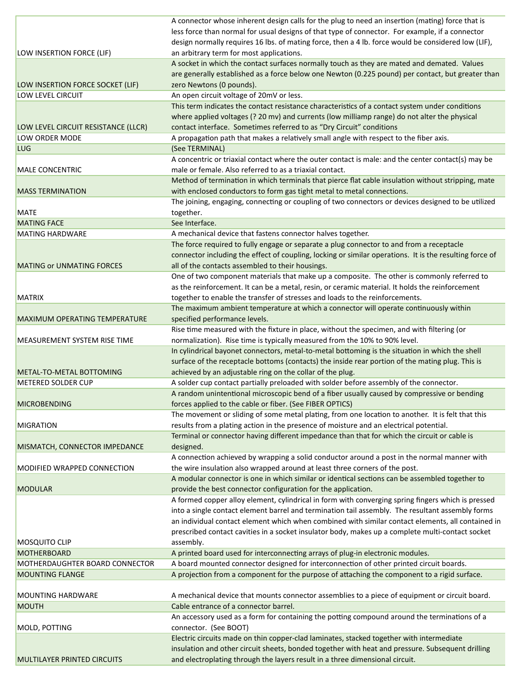|                                     | A connector whose inherent design calls for the plug to need an insertion (mating) force that is        |
|-------------------------------------|---------------------------------------------------------------------------------------------------------|
|                                     | less force than normal for usual designs of that type of connector. For example, if a connector         |
|                                     | design normally requires 16 lbs. of mating force, then a 4 lb. force would be considered low (LIF),     |
| LOW INSERTION FORCE (LIF)           | an arbitrary term for most applications.                                                                |
|                                     | A socket in which the contact surfaces normally touch as they are mated and demated. Values             |
|                                     | are generally established as a force below one Newton (0.225 pound) per contact, but greater than       |
| LOW INSERTION FORCE SOCKET (LIF)    | zero Newtons (0 pounds).                                                                                |
| LOW LEVEL CIRCUIT                   | An open circuit voltage of 20mV or less.                                                                |
|                                     | This term indicates the contact resistance characteristics of a contact system under conditions         |
|                                     | where applied voltages (? 20 mv) and currents (low milliamp range) do not alter the physical            |
| LOW LEVEL CIRCUIT RESISTANCE (LLCR) | contact interface. Sometimes referred to as "Dry Circuit" conditions                                    |
| LOW ORDER MODE                      | A propagation path that makes a relatively small angle with respect to the fiber axis.                  |
| <b>LUG</b>                          | (See TERMINAL)                                                                                          |
|                                     | A concentric or triaxial contact where the outer contact is male: and the center contact(s) may be      |
| <b>MALE CONCENTRIC</b>              | male or female. Also referred to as a triaxial contact.                                                 |
|                                     | Method of termination in which terminals that pierce flat cable insulation without stripping, mate      |
| <b>MASS TERMINATION</b>             | with enclosed conductors to form gas tight metal to metal connections.                                  |
|                                     | The joining, engaging, connecting or coupling of two connectors or devices designed to be utilized      |
| <b>MATE</b>                         | together.                                                                                               |
| <b>MATING FACE</b>                  | See Interface.                                                                                          |
| <b>MATING HARDWARE</b>              | A mechanical device that fastens connector halves together.                                             |
|                                     | The force required to fully engage or separate a plug connector to and from a receptacle                |
|                                     |                                                                                                         |
|                                     | connector including the effect of coupling, locking or similar operations. It is the resulting force of |
| <b>MATING or UNMATING FORCES</b>    | all of the contacts assembled to their housings.                                                        |
|                                     | One of two component materials that make up a composite. The other is commonly referred to              |
|                                     | as the reinforcement. It can be a metal, resin, or ceramic material. It holds the reinforcement         |
| <b>MATRIX</b>                       | together to enable the transfer of stresses and loads to the reinforcements.                            |
|                                     | The maximum ambient temperature at which a connector will operate continuously within                   |
| MAXIMUM OPERATING TEMPERATURE       | specified performance levels.                                                                           |
|                                     | Rise time measured with the fixture in place, without the specimen, and with filtering (or              |
| MEASUREMENT SYSTEM RISE TIME        | normalization). Rise time is typically measured from the 10% to 90% level.                              |
|                                     | In cylindrical bayonet connectors, metal-to-metal bottoming is the situation in which the shell         |
|                                     | surface of the receptacle bottoms (contacts) the inside rear portion of the mating plug. This is        |
| METAL-TO-METAL BOTTOMING            | achieved by an adjustable ring on the collar of the plug.                                               |
| <b>METERED SOLDER CUP</b>           | A solder cup contact partially preloaded with solder before assembly of the connector.                  |
|                                     | A random unintentional microscopic bend of a fiber usually caused by compressive or bending             |
| <b>MICROBENDING</b>                 | forces applied to the cable or fiber. (See FIBER OPTICS)                                                |
|                                     | The movement or sliding of some metal plating, from one location to another. It is felt that this       |
| <b>MIGRATION</b>                    | results from a plating action in the presence of moisture and an electrical potential.                  |
|                                     | Terminal or connector having different impedance than that for which the circuit or cable is            |
| MISMATCH, CONNECTOR IMPEDANCE       | designed.                                                                                               |
|                                     | A connection achieved by wrapping a solid conductor around a post in the normal manner with             |
| MODIFIED WRAPPED CONNECTION         | the wire insulation also wrapped around at least three corners of the post.                             |
|                                     | A modular connector is one in which similar or identical sections can be assembled together to          |
| <b>MODULAR</b>                      | provide the best connector configuration for the application.                                           |
|                                     | A formed copper alloy element, cylindrical in form with converging spring fingers which is pressed      |
|                                     | into a single contact element barrel and termination tail assembly. The resultant assembly forms        |
|                                     | an individual contact element which when combined with similar contact elements, all contained in       |
|                                     | prescribed contact cavities in a socket insulator body, makes up a complete multi-contact socket        |
| <b>MOSQUITO CLIP</b>                | assembly.                                                                                               |
| <b>MOTHERBOARD</b>                  | A printed board used for interconnecting arrays of plug-in electronic modules.                          |
| MOTHERDAUGHTER BOARD CONNECTOR      | A board mounted connector designed for interconnection of other printed circuit boards.                 |
| <b>MOUNTING FLANGE</b>              | A projection from a component for the purpose of attaching the component to a rigid surface.            |
|                                     |                                                                                                         |
| <b>MOUNTING HARDWARE</b>            | A mechanical device that mounts connector assemblies to a piece of equipment or circuit board.          |
| <b>MOUTH</b>                        | Cable entrance of a connector barrel.                                                                   |
|                                     | An accessory used as a form for containing the potting compound around the terminations of a            |
| MOLD, POTTING                       | connector. (See BOOT)                                                                                   |
|                                     | Electric circuits made on thin copper-clad laminates, stacked together with intermediate                |
|                                     | insulation and other circuit sheets, bonded together with heat and pressure. Subsequent drilling        |
| <b>MULTILAYER PRINTED CIRCUITS</b>  | and electroplating through the layers result in a three dimensional circuit.                            |
|                                     |                                                                                                         |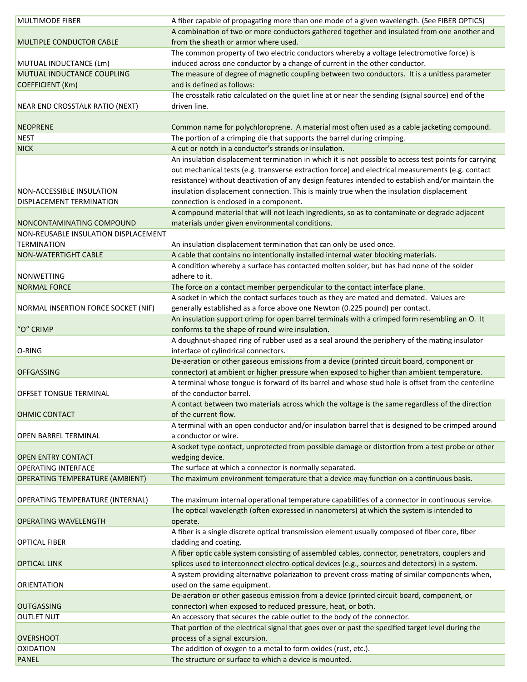| <b>MULTIMODE FIBER</b>                 | A fiber capable of propagating more than one mode of a given wavelength. (See FIBER OPTICS)           |
|----------------------------------------|-------------------------------------------------------------------------------------------------------|
|                                        | A combination of two or more conductors gathered together and insulated from one another and          |
| <b>MULTIPLE CONDUCTOR CABLE</b>        | from the sheath or armor where used.                                                                  |
|                                        | The common property of two electric conductors whereby a voltage (electromotive force) is             |
| MUTUAL INDUCTANCE (Lm)                 | induced across one conductor by a change of current in the other conductor.                           |
| MUTUAL INDUCTANCE COUPLING             | The measure of degree of magnetic coupling between two conductors. It is a unitless parameter         |
| COEFFICIENT (Km)                       | and is defined as follows:                                                                            |
|                                        | The crosstalk ratio calculated on the quiet line at or near the sending (signal source) end of the    |
| NEAR END CROSSTALK RATIO (NEXT)        | driven line.                                                                                          |
|                                        |                                                                                                       |
| <b>NEOPRENE</b>                        | Common name for polychloroprene. A material most often used as a cable jacketing compound.            |
| <b>NEST</b>                            | The portion of a crimping die that supports the barrel during crimping.                               |
| <b>NICK</b>                            | A cut or notch in a conductor's strands or insulation.                                                |
|                                        |                                                                                                       |
|                                        | An insulation displacement termination in which it is not possible to access test points for carrying |
|                                        | out mechanical tests (e.g. transverse extraction force) and electrical measurements (e.g. contact     |
|                                        | resistance) without deactivation of any design features intended to establish and/or maintain the     |
| NON-ACCESSIBLE INSULATION              | insulation displacement connection. This is mainly true when the insulation displacement              |
| DISPLACEMENT TERMINATION               | connection is enclosed in a component.                                                                |
|                                        | A compound material that will not leach ingredients, so as to contaminate or degrade adjacent         |
| NONCONTAMINATING COMPOUND              | materials under given environmental conditions.                                                       |
| NON-REUSABLE INSULATION DISPLACEMENT   |                                                                                                       |
| <b>TERMINATION</b>                     | An insulation displacement termination that can only be used once.                                    |
| <b>NON-WATERTIGHT CABLE</b>            | A cable that contains no intentionally installed internal water blocking materials.                   |
|                                        | A condition whereby a surface has contacted molten solder, but has had none of the solder             |
| <b>NONWETTING</b>                      | adhere to it.                                                                                         |
| <b>NORMAL FORCE</b>                    | The force on a contact member perpendicular to the contact interface plane.                           |
|                                        | A socket in which the contact surfaces touch as they are mated and demated. Values are                |
| NORMAL INSERTION FORCE SOCKET (NIF)    | generally established as a force above one Newton (0.225 pound) per contact.                          |
|                                        | An insulation support crimp for open barrel terminals with a crimped form resembling an O. It         |
| "O" CRIMP                              | conforms to the shape of round wire insulation.                                                       |
|                                        | A doughnut-shaped ring of rubber used as a seal around the periphery of the mating insulator          |
| O-RING                                 | interface of cylindrical connectors.                                                                  |
|                                        | De-aeration or other gaseous emissions from a device (printed circuit board, component or             |
| <b>OFFGASSING</b>                      | connector) at ambient or higher pressure when exposed to higher than ambient temperature.             |
|                                        | A terminal whose tongue is forward of its barrel and whose stud hole is offset from the centerline    |
| <b>OFFSET TONGUE TERMINAL</b>          | of the conductor barrel.                                                                              |
|                                        |                                                                                                       |
|                                        | A contact between two materials across which the voltage is the same regardless of the direction      |
| <b>OHMIC CONTACT</b>                   | of the current flow.                                                                                  |
|                                        | A terminal with an open conductor and/or insulation barrel that is designed to be crimped around      |
| <b>OPEN BARREL TERMINAL</b>            | a conductor or wire.                                                                                  |
|                                        | A socket type contact, unprotected from possible damage or distortion from a test probe or other      |
| <b>OPEN ENTRY CONTACT</b>              | wedging device.                                                                                       |
| <b>OPERATING INTERFACE</b>             | The surface at which a connector is normally separated.                                               |
| <b>OPERATING TEMPERATURE (AMBIENT)</b> | The maximum environment temperature that a device may function on a continuous basis.                 |
|                                        |                                                                                                       |
| OPERATING TEMPERATURE (INTERNAL)       | The maximum internal operational temperature capabilities of a connector in continuous service.       |
|                                        | The optical wavelength (often expressed in nanometers) at which the system is intended to             |
| <b>OPERATING WAVELENGTH</b>            | operate.                                                                                              |
|                                        | A fiber is a single discrete optical transmission element usually composed of fiber core, fiber       |
| <b>OPTICAL FIBER</b>                   | cladding and coating.                                                                                 |
|                                        | A fiber optic cable system consisting of assembled cables, connector, penetrators, couplers and       |
| <b>OPTICAL LINK</b>                    | splices used to interconnect electro-optical devices (e.g., sources and detectors) in a system.       |
|                                        | A system providing alternative polarization to prevent cross-mating of similar components when,       |
| ORIENTATION                            | used on the same equipment.                                                                           |
|                                        | De-aeration or other gaseous emission from a device (printed circuit board, component, or             |
|                                        |                                                                                                       |
| <b>OUTGASSING</b>                      | connector) when exposed to reduced pressure, heat, or both.                                           |
| <b>OUTLET NUT</b>                      | An accessory that secures the cable outlet to the body of the connector.                              |
|                                        | That portion of the electrical signal that goes over or past the specified target level during the    |
| <b>OVERSHOOT</b>                       | process of a signal excursion.                                                                        |
| <b>OXIDATION</b>                       | The addition of oxygen to a metal to form oxides (rust, etc.).                                        |
| <b>PANEL</b>                           | The structure or surface to which a device is mounted.                                                |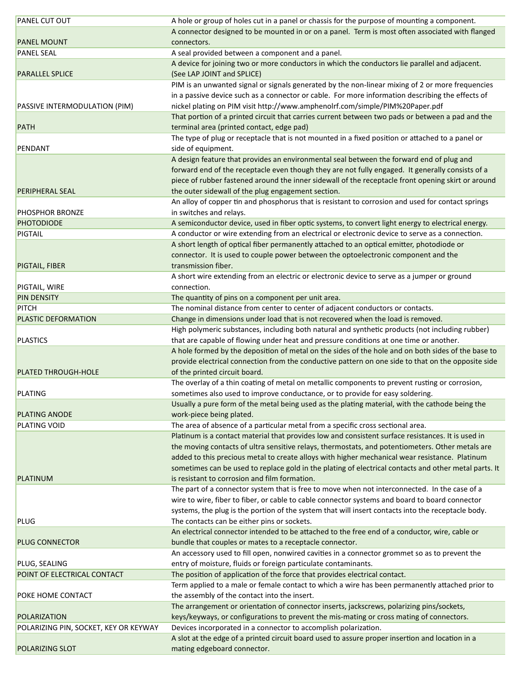| <b>PANEL CUT OUT</b>                  | A hole or group of holes cut in a panel or chassis for the purpose of mounting a component.           |
|---------------------------------------|-------------------------------------------------------------------------------------------------------|
|                                       | A connector designed to be mounted in or on a panel. Term is most often associated with flanged       |
| <b>PANEL MOUNT</b>                    | connectors.                                                                                           |
| <b>PANEL SEAL</b>                     | A seal provided between a component and a panel.                                                      |
|                                       | A device for joining two or more conductors in which the conductors lie parallel and adjacent.        |
| <b>PARALLEL SPLICE</b>                | (See LAP JOINT and SPLICE)                                                                            |
|                                       | PIM is an unwanted signal or signals generated by the non-linear mixing of 2 or more frequencies      |
|                                       | in a passive device such as a connector or cable. For more information describing the effects of      |
| PASSIVE INTERMODULATION (PIM)         | nickel plating on PIM visit http://www.amphenolrf.com/simple/PIM%20Paper.pdf                          |
|                                       | That portion of a printed circuit that carries current between two pads or between a pad and the      |
| <b>PATH</b>                           | terminal area (printed contact, edge pad)                                                             |
|                                       | The type of plug or receptacle that is not mounted in a fixed position or attached to a panel or      |
| PENDANT                               | side of equipment.                                                                                    |
|                                       | A design feature that provides an environmental seal between the forward end of plug and              |
|                                       | forward end of the receptacle even though they are not fully engaged. It generally consists of a      |
|                                       | piece of rubber fastened around the inner sidewall of the receptacle front opening skirt or around    |
| <b>PERIPHERAL SEAL</b>                | the outer sidewall of the plug engagement section.                                                    |
|                                       | An alloy of copper tin and phosphorus that is resistant to corrosion and used for contact springs     |
| <b>PHOSPHOR BRONZE</b>                | in switches and relays.                                                                               |
| <b>PHOTODIODE</b>                     | A semiconductor device, used in fiber optic systems, to convert light energy to electrical energy.    |
| PIGTAIL                               | A conductor or wire extending from an electrical or electronic device to serve as a connection.       |
|                                       | A short length of optical fiber permanently attached to an optical emitter, photodiode or             |
|                                       | connector. It is used to couple power between the optoelectronic component and the                    |
| PIGTAIL, FIBER                        | transmission fiber.                                                                                   |
|                                       | A short wire extending from an electric or electronic device to serve as a jumper or ground           |
| PIGTAIL, WIRE                         | connection.                                                                                           |
| <b>PIN DENSITY</b>                    | The quantity of pins on a component per unit area.                                                    |
| <b>PITCH</b>                          | The nominal distance from center to center of adjacent conductors or contacts.                        |
| PLASTIC DEFORMATION                   | Change in dimensions under load that is not recovered when the load is removed.                       |
|                                       | High polymeric substances, including both natural and synthetic products (not including rubber)       |
| <b>PLASTICS</b>                       | that are capable of flowing under heat and pressure conditions at one time or another.                |
|                                       | A hole formed by the deposition of metal on the sides of the hole and on both sides of the base to    |
|                                       | provide electrical connection from the conductive pattern on one side to that on the opposite side    |
| <b>PLATED THROUGH-HOLE</b>            | of the printed circuit board.                                                                         |
|                                       | The overlay of a thin coating of metal on metallic components to prevent rusting or corrosion,        |
| <b>PLATING</b>                        | sometimes also used to improve conductance, or to provide for easy soldering.                         |
|                                       | Usually a pure form of the metal being used as the plating material, with the cathode being the       |
| <b>PLATING ANODE</b>                  | work-piece being plated.                                                                              |
| <b>PLATING VOID</b>                   | The area of absence of a particular metal from a specific cross sectional area.                       |
|                                       | Platinum is a contact material that provides low and consistent surface resistances. It is used in    |
|                                       | the moving contacts of ultra sensitive relays, thermostats, and potentiometers. Other metals are      |
|                                       | added to this precious metal to create alloys with higher mechanical wear resistance. Platinum        |
|                                       | sometimes can be used to replace gold in the plating of electrical contacts and other metal parts. It |
| <b>PLATINUM</b>                       | is resistant to corrosion and film formation.                                                         |
|                                       | The part of a connector system that is free to move when not interconnected. In the case of a         |
|                                       | wire to wire, fiber to fiber, or cable to cable connector systems and board to board connector        |
|                                       | systems, the plug is the portion of the system that will insert contacts into the receptacle body.    |
| <b>PLUG</b>                           | The contacts can be either pins or sockets.                                                           |
|                                       | An electrical connector intended to be attached to the free end of a conductor, wire, cable or        |
| <b>PLUG CONNECTOR</b>                 | bundle that couples or mates to a receptacle connector.                                               |
|                                       | An accessory used to fill open, nonwired cavities in a connector grommet so as to prevent the         |
| PLUG, SEALING                         | entry of moisture, fluids or foreign particulate contaminants.                                        |
| POINT OF ELECTRICAL CONTACT           | The position of application of the force that provides electrical contact.                            |
|                                       | Term applied to a male or female contact to which a wire has been permanently attached prior to       |
| POKE HOME CONTACT                     | the assembly of the contact into the insert.                                                          |
|                                       | The arrangement or orientation of connector inserts, jackscrews, polarizing pins/sockets,             |
| POLARIZATION                          | keys/keyways, or configurations to prevent the mis-mating or cross mating of connectors.              |
| POLARIZING PIN, SOCKET, KEY OR KEYWAY | Devices incorporated in a connector to accomplish polarization.                                       |
|                                       | A slot at the edge of a printed circuit board used to assure proper insertion and location in a       |
| POLARIZING SLOT                       | mating edgeboard connector.                                                                           |
|                                       |                                                                                                       |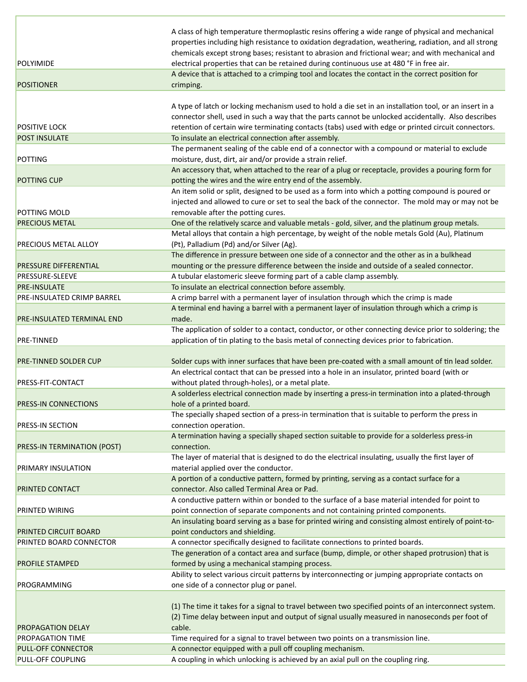| <b>POLYIMIDE</b>                      | A class of high temperature thermoplastic resins offering a wide range of physical and mechanical<br>properties including high resistance to oxidation degradation, weathering, radiation, and all strong<br>chemicals except strong bases; resistant to abrasion and frictional wear; and with mechanical and<br>electrical properties that can be retained during continuous use at 480 °F in free air. |
|---------------------------------------|-----------------------------------------------------------------------------------------------------------------------------------------------------------------------------------------------------------------------------------------------------------------------------------------------------------------------------------------------------------------------------------------------------------|
| <b>POSITIONER</b>                     | A device that is attached to a crimping tool and locates the contact in the correct position for<br>crimping.                                                                                                                                                                                                                                                                                             |
|                                       | A type of latch or locking mechanism used to hold a die set in an installation tool, or an insert in a<br>connector shell, used in such a way that the parts cannot be unlocked accidentally. Also describes                                                                                                                                                                                              |
| <b>POSITIVE LOCK</b>                  | retention of certain wire terminating contacts (tabs) used with edge or printed circuit connectors.                                                                                                                                                                                                                                                                                                       |
| <b>POST INSULATE</b>                  | To insulate an electrical connection after assembly.                                                                                                                                                                                                                                                                                                                                                      |
| <b>POTTING</b>                        | The permanent sealing of the cable end of a connector with a compound or material to exclude<br>moisture, dust, dirt, air and/or provide a strain relief.                                                                                                                                                                                                                                                 |
|                                       | An accessory that, when attached to the rear of a plug or receptacle, provides a pouring form for                                                                                                                                                                                                                                                                                                         |
| <b>POTTING CUP</b>                    | potting the wires and the wire entry end of the assembly.                                                                                                                                                                                                                                                                                                                                                 |
|                                       | An item solid or split, designed to be used as a form into which a potting compound is poured or<br>injected and allowed to cure or set to seal the back of the connector. The mold may or may not be                                                                                                                                                                                                     |
| POTTING MOLD<br><b>PRECIOUS METAL</b> | removable after the potting cures.                                                                                                                                                                                                                                                                                                                                                                        |
|                                       | One of the relatively scarce and valuable metals - gold, silver, and the platinum group metals.<br>Metal alloys that contain a high percentage, by weight of the noble metals Gold (Au), Platinum                                                                                                                                                                                                         |
| PRECIOUS METAL ALLOY                  | (Pt), Palladium (Pd) and/or Silver (Ag).                                                                                                                                                                                                                                                                                                                                                                  |
|                                       | The difference in pressure between one side of a connector and the other as in a bulkhead                                                                                                                                                                                                                                                                                                                 |
| <b>PRESSURE DIFFERENTIAL</b>          | mounting or the pressure difference between the inside and outside of a sealed connector.                                                                                                                                                                                                                                                                                                                 |
| PRESSURE-SLEEVE                       | A tubular elastomeric sleeve forming part of a cable clamp assembly.                                                                                                                                                                                                                                                                                                                                      |
| <b>PRE-INSULATE</b>                   | To insulate an electrical connection before assembly.                                                                                                                                                                                                                                                                                                                                                     |
| PRE-INSULATED CRIMP BARREL            | A crimp barrel with a permanent layer of insulation through which the crimp is made                                                                                                                                                                                                                                                                                                                       |
| PRE-INSULATED TERMINAL END            | A terminal end having a barrel with a permanent layer of insulation through which a crimp is<br>made.                                                                                                                                                                                                                                                                                                     |
| PRE-TINNED                            | The application of solder to a contact, conductor, or other connecting device prior to soldering; the<br>application of tin plating to the basis metal of connecting devices prior to fabrication.                                                                                                                                                                                                        |
| <b>PRE-TINNED SOLDER CUP</b>          | Solder cups with inner surfaces that have been pre-coated with a small amount of tin lead solder.                                                                                                                                                                                                                                                                                                         |
|                                       | An electrical contact that can be pressed into a hole in an insulator, printed board (with or                                                                                                                                                                                                                                                                                                             |
| PRESS-FIT-CONTACT                     | without plated through-holes), or a metal plate.                                                                                                                                                                                                                                                                                                                                                          |
|                                       | A solderless electrical connection made by inserting a press-in termination into a plated-through                                                                                                                                                                                                                                                                                                         |
| PRESS-IN CONNECTIONS                  | hole of a printed board.<br>The specially shaped section of a press-in termination that is suitable to perform the press in                                                                                                                                                                                                                                                                               |
| PRESS-IN SECTION                      | connection operation.                                                                                                                                                                                                                                                                                                                                                                                     |
| <b>PRESS-IN TERMINATION (POST)</b>    | A termination having a specially shaped section suitable to provide for a solderless press-in<br>connection.                                                                                                                                                                                                                                                                                              |
| PRIMARY INSULATION                    | The layer of material that is designed to do the electrical insulating, usually the first layer of<br>material applied over the conductor.                                                                                                                                                                                                                                                                |
|                                       | A portion of a conductive pattern, formed by printing, serving as a contact surface for a                                                                                                                                                                                                                                                                                                                 |
| PRINTED CONTACT                       | connector. Also called Terminal Area or Pad.                                                                                                                                                                                                                                                                                                                                                              |
|                                       | A conductive pattern within or bonded to the surface of a base material intended for point to                                                                                                                                                                                                                                                                                                             |
| PRINTED WIRING                        | point connection of separate components and not containing printed components.                                                                                                                                                                                                                                                                                                                            |
|                                       | An insulating board serving as a base for printed wiring and consisting almost entirely of point-to-                                                                                                                                                                                                                                                                                                      |
| PRINTED CIRCUIT BOARD                 | point conductors and shielding.                                                                                                                                                                                                                                                                                                                                                                           |
| PRINTED BOARD CONNECTOR               | A connector specifically designed to facilitate connections to printed boards.                                                                                                                                                                                                                                                                                                                            |
| PROFILE STAMPED                       | The generation of a contact area and surface (bump, dimple, or other shaped protrusion) that is<br>formed by using a mechanical stamping process.                                                                                                                                                                                                                                                         |
|                                       | Ability to select various circuit patterns by interconnecting or jumping appropriate contacts on                                                                                                                                                                                                                                                                                                          |
| PROGRAMMING                           | one side of a connector plug or panel.                                                                                                                                                                                                                                                                                                                                                                    |
| <b>PROPAGATION DELAY</b>              | (1) The time it takes for a signal to travel between two specified points of an interconnect system.<br>(2) Time delay between input and output of signal usually measured in nanoseconds per foot of<br>cable.                                                                                                                                                                                           |
| <b>PROPAGATION TIME</b>               | Time required for a signal to travel between two points on a transmission line.                                                                                                                                                                                                                                                                                                                           |
| PULL-OFF CONNECTOR                    | A connector equipped with a pull off coupling mechanism.                                                                                                                                                                                                                                                                                                                                                  |
| PULL-OFF COUPLING                     | A coupling in which unlocking is achieved by an axial pull on the coupling ring.                                                                                                                                                                                                                                                                                                                          |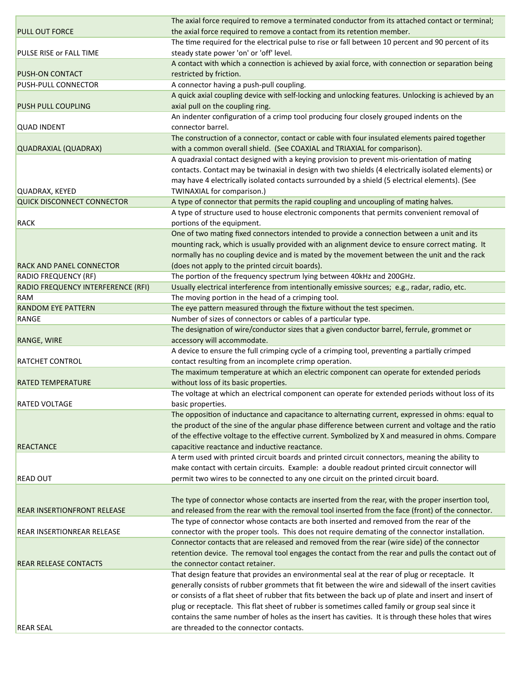| <b>REAR SEAL</b>                   | are threaded to the connector contacts.                                                                                                                                                               |
|------------------------------------|-------------------------------------------------------------------------------------------------------------------------------------------------------------------------------------------------------|
|                                    | plug or receptacle. This flat sheet of rubber is sometimes called family or group seal since it<br>contains the same number of holes as the insert has cavities. It is through these holes that wires |
|                                    | or consists of a flat sheet of rubber that fits between the back up of plate and insert and insert of                                                                                                 |
|                                    | generally consists of rubber grommets that fit between the wire and sidewall of the insert cavities                                                                                                   |
|                                    | That design feature that provides an environmental seal at the rear of plug or receptacle. It                                                                                                         |
| <b>REAR RELEASE CONTACTS</b>       | the connector contact retainer.                                                                                                                                                                       |
|                                    | retention device. The removal tool engages the contact from the rear and pulls the contact out of                                                                                                     |
|                                    | Connector contacts that are released and removed from the rear (wire side) of the connector                                                                                                           |
| REAR INSERTIONREAR RELEASE         | connector with the proper tools. This does not require demating of the connector installation.                                                                                                        |
|                                    | The type of connector whose contacts are both inserted and removed from the rear of the                                                                                                               |
| <b>REAR INSERTIONFRONT RELEASE</b> | and released from the rear with the removal tool inserted from the face (front) of the connector.                                                                                                     |
|                                    | The type of connector whose contacts are inserted from the rear, with the proper insertion tool,                                                                                                      |
|                                    |                                                                                                                                                                                                       |
| <b>READ OUT</b>                    | permit two wires to be connected to any one circuit on the printed circuit board.                                                                                                                     |
|                                    | A term used with printed circuit boards and printed circuit connectors, meaning the ability to<br>make contact with certain circuits. Example: a double readout printed circuit connector will        |
|                                    |                                                                                                                                                                                                       |
| <b>REACTANCE</b>                   | of the effective voltage to the effective current. Symbolized by X and measured in ohms. Compare<br>capacitive reactance and inductive reactance.                                                     |
|                                    | the product of the sine of the angular phase difference between current and voltage and the ratio                                                                                                     |
|                                    | The opposition of inductance and capacitance to alternating current, expressed in ohms: equal to                                                                                                      |
| <b>RATED VOLTAGE</b>               | basic properties.                                                                                                                                                                                     |
|                                    | The voltage at which an electrical component can operate for extended periods without loss of its                                                                                                     |
| <b>RATED TEMPERATURE</b>           | without loss of its basic properties.                                                                                                                                                                 |
|                                    | The maximum temperature at which an electric component can operate for extended periods                                                                                                               |
| <b>RATCHET CONTROL</b>             | contact resulting from an incomplete crimp operation.                                                                                                                                                 |
|                                    | A device to ensure the full crimping cycle of a crimping tool, preventing a partially crimped                                                                                                         |
| <b>RANGE, WIRE</b>                 | accessory will accommodate.                                                                                                                                                                           |
|                                    | The designation of wire/conductor sizes that a given conductor barrel, ferrule, grommet or                                                                                                            |
| RANGE                              | Number of sizes of connectors or cables of a particular type.                                                                                                                                         |
| <b>RANDOM EYE PATTERN</b>          | The eye pattern measured through the fixture without the test specimen.                                                                                                                               |
| RAM                                | The moving portion in the head of a crimping tool.                                                                                                                                                    |
| RADIO FREQUENCY INTERFERENCE (RFI) | Usually electrical interference from intentionally emissive sources; e.g., radar, radio, etc.                                                                                                         |
| <b>RADIO FREQUENCY (RF)</b>        | The portion of the frequency spectrum lying between 40kHz and 200GHz.                                                                                                                                 |
| <b>RACK AND PANEL CONNECTOR</b>    | (does not apply to the printed circuit boards).                                                                                                                                                       |
|                                    | normally has no coupling device and is mated by the movement between the unit and the rack                                                                                                            |
|                                    | mounting rack, which is usually provided with an alignment device to ensure correct mating. It                                                                                                        |
|                                    | One of two mating fixed connectors intended to provide a connection between a unit and its                                                                                                            |
| <b>RACK</b>                        | portions of the equipment.                                                                                                                                                                            |
|                                    | A type of structure used to house electronic components that permits convenient removal of                                                                                                            |
| <b>QUICK DISCONNECT CONNECTOR</b>  | A type of connector that permits the rapid coupling and uncoupling of mating halves.                                                                                                                  |
| QUADRAX, KEYED                     | TWINAXIAL for comparison.)                                                                                                                                                                            |
|                                    | may have 4 electrically isolated contacts surrounded by a shield (5 electrical elements). (See                                                                                                        |
|                                    | contacts. Contact may be twinaxial in design with two shields (4 electrically isolated elements) or                                                                                                   |
|                                    | A quadraxial contact designed with a keying provision to prevent mis-orientation of mating                                                                                                            |
| QUADRAXIAL (QUADRAX)               | with a common overall shield. (See COAXIAL and TRIAXIAL for comparison).                                                                                                                              |
|                                    | The construction of a connector, contact or cable with four insulated elements paired together                                                                                                        |
| <b>QUAD INDENT</b>                 | An indenter configuration of a crimp tool producing four closely grouped indents on the<br>connector barrel.                                                                                          |
| <b>PUSH PULL COUPLING</b>          | axial pull on the coupling ring.                                                                                                                                                                      |
|                                    | A quick axial coupling device with self-locking and unlocking features. Unlocking is achieved by an                                                                                                   |
| PUSH-PULL CONNECTOR                | A connector having a push-pull coupling.                                                                                                                                                              |
| <b>PUSH-ON CONTACT</b>             | restricted by friction.                                                                                                                                                                               |
|                                    | A contact with which a connection is achieved by axial force, with connection or separation being                                                                                                     |
| PULSE RISE or FALL TIME            | steady state power 'on' or 'off' level.                                                                                                                                                               |
|                                    | The time required for the electrical pulse to rise or fall between 10 percent and 90 percent of its                                                                                                   |
| <b>PULL OUT FORCE</b>              | the axial force required to remove a contact from its retention member.                                                                                                                               |
|                                    | The axial force required to remove a terminated conductor from its attached contact or terminal;                                                                                                      |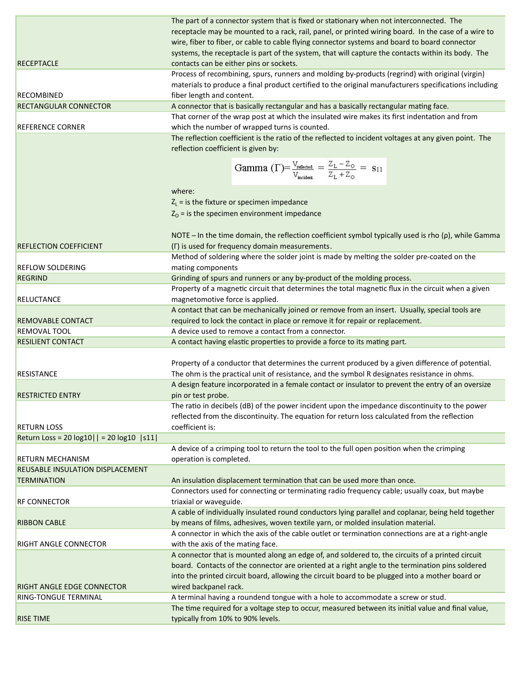| <b>RISE TIME</b>                            | The time required for a voltage step to occur, measured between its initial value and final value,<br>typically from 10% to 90% levels.                     |
|---------------------------------------------|-------------------------------------------------------------------------------------------------------------------------------------------------------------|
| RING-TONGUE TERMINAL                        | A terminal having a roundend tongue with a hole to accommodate a screw or stud.                                                                             |
| <b>RIGHT ANGLE EDGE CONNECTOR</b>           | wired backpanel rack.                                                                                                                                       |
|                                             | into the printed circuit board, allowing the circuit board to be plugged into a mother board or                                                             |
|                                             | board. Contacts of the connector are oriented at a right angle to the termination pins soldered                                                             |
|                                             | A connector that is mounted along an edge of, and soldered to, the circuits of a printed circuit                                                            |
| RIGHT ANGLE CONNECTOR                       | with the axis of the mating face.                                                                                                                           |
|                                             | A connector in which the axis of the cable outlet or termination connections are at a right-angle                                                           |
| <b>RIBBON CABLE</b>                         | by means of films, adhesives, woven textile yarn, or molded insulation material.                                                                            |
|                                             | A cable of individually insulated round conductors lying parallel and coplanar, being held together                                                         |
| <b>RF CONNECTOR</b>                         | triaxial or waveguide.                                                                                                                                      |
|                                             | Connectors used for connecting or terminating radio frequency cable; usually coax, but maybe                                                                |
| <b>TERMINATION</b>                          | An insulation displacement termination that can be used more than once.                                                                                     |
| REUSABLE INSULATION DISPLACEMENT            |                                                                                                                                                             |
| <b>RETURN MECHANISM</b>                     | operation is completed.                                                                                                                                     |
|                                             | A device of a crimping tool to return the tool to the full open position when the crimping                                                                  |
| Return Loss = 20 log10     = 20 log10   s11 |                                                                                                                                                             |
| <b>RETURN LOSS</b>                          | reflected from the discontinuity. The equation for return loss calculated from the reflection<br>coefficient is:                                            |
|                                             | The ratio in decibels (dB) of the power incident upon the impedance discontinuity to the power                                                              |
| <b>RESTRICTED ENTRY</b>                     | pin or test probe.                                                                                                                                          |
|                                             | A design feature incorporated in a female contact or insulator to prevent the entry of an oversize                                                          |
| <b>RESISTANCE</b>                           | The ohm is the practical unit of resistance, and the symbol R designates resistance in ohms.                                                                |
|                                             | Property of a conductor that determines the current produced by a given difference of potential.                                                            |
|                                             |                                                                                                                                                             |
| <b>RESILIENT CONTACT</b>                    | A contact having elastic properties to provide a force to its mating part.                                                                                  |
| <b>REMOVAL TOOL</b>                         | A device used to remove a contact from a connector.                                                                                                         |
| <b>REMOVABLE CONTACT</b>                    | required to lock the contact in place or remove it for repair or replacement.                                                                               |
|                                             | A contact that can be mechanically joined or remove from an insert. Usually, special tools are                                                              |
| RELUCTANCE                                  | magnetomotive force is applied.                                                                                                                             |
|                                             | Property of a magnetic circuit that determines the total magnetic flux in the circuit when a given                                                          |
| <b>REGRIND</b>                              | Grinding of spurs and runners or any by-product of the molding process.                                                                                     |
| <b>REFLOW SOLDERING</b>                     | mating components                                                                                                                                           |
| <b>REFLECTION COEFFICIENT</b>               | Method of soldering where the solder joint is made by melting the solder pre-coated on the                                                                  |
|                                             | NOTE – In the time domain, the reflection coefficient symbol typically used is rho $(\rho)$ , while Gamma<br>(F) is used for frequency domain measurements. |
|                                             |                                                                                                                                                             |
|                                             | $Z_0$ = is the specimen environment impedance                                                                                                               |
|                                             | $Z_L$ = is the fixture or specimen impedance                                                                                                                |
|                                             | where:                                                                                                                                                      |
|                                             |                                                                                                                                                             |
|                                             | Gamma ( $\Gamma$ )= $\frac{V_{\text{reflected}}}{V_{\text{incident}}} = \frac{Z_L - Z_O}{Z_L + Z_O} = s_{11}$                                               |
|                                             |                                                                                                                                                             |
|                                             | reflection coefficient is given by:                                                                                                                         |
|                                             | The reflection coefficient is the ratio of the reflected to incident voltages at any given point. The                                                       |
| <b>REFERENCE CORNER</b>                     | That corner of the wrap post at which the insulated wire makes its first indentation and from<br>which the number of wrapped turns is counted.              |
| <b>RECTANGULAR CONNECTOR</b>                | A connector that is basically rectangular and has a basically rectangular mating face.                                                                      |
| <b>RECOMBINED</b>                           | fiber length and content.                                                                                                                                   |
|                                             | materials to produce a final product certified to the original manufacturers specifications including                                                       |
|                                             | Process of recombining, spurs, runners and molding by-products (regrind) with original (virgin)                                                             |
| <b>RECEPTACLE</b>                           | contacts can be either pins or sockets.                                                                                                                     |
|                                             | systems, the receptacle is part of the system, that will capture the contacts within its body. The                                                          |
|                                             | wire, fiber to fiber, or cable to cable flying connector systems and board to board connector                                                               |
|                                             | receptacle may be mounted to a rack, rail, panel, or printed wiring board. In the case of a wire to                                                         |
|                                             | The part of a connector system that is fixed or stationary when not interconnected. The                                                                     |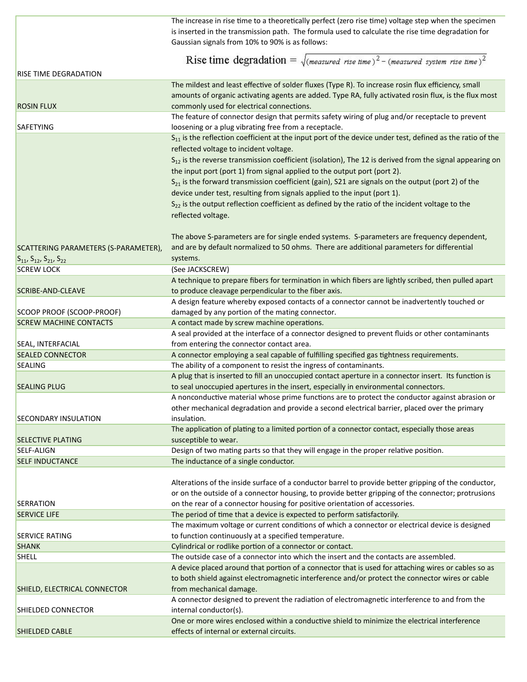|                                           | The increase in rise time to a theoretically perfect (zero rise time) voltage step when the specimen<br>is inserted in the transmission path. The formula used to calculate the rise time degradation for<br>Gaussian signals from 10% to 90% is as follows: |
|-------------------------------------------|--------------------------------------------------------------------------------------------------------------------------------------------------------------------------------------------------------------------------------------------------------------|
|                                           |                                                                                                                                                                                                                                                              |
|                                           | Rise time degradation = $\sqrt{(measured\ rise\ time)^2 - (measured\ system\ rise\ time)^2}$                                                                                                                                                                 |
| RISE TIME DEGRADATION                     | The mildest and least effective of solder fluxes (Type R). To increase rosin flux efficiency, small                                                                                                                                                          |
|                                           | amounts of organic activating agents are added. Type RA, fully activated rosin flux, is the flux most                                                                                                                                                        |
| <b>ROSIN FLUX</b>                         | commonly used for electrical connections.                                                                                                                                                                                                                    |
|                                           | The feature of connector design that permits safety wiring of plug and/or receptacle to prevent                                                                                                                                                              |
| SAFETYING                                 | loosening or a plug vibrating free from a receptacle.                                                                                                                                                                                                        |
|                                           | S <sub>11</sub> is the reflection coefficient at the input port of the device under test, defined as the ratio of the                                                                                                                                        |
|                                           | reflected voltage to incident voltage.                                                                                                                                                                                                                       |
|                                           | $S_{12}$ is the reverse transmission coefficient (isolation), The 12 is derived from the signal appearing on                                                                                                                                                 |
|                                           | the input port (port 1) from signal applied to the output port (port 2).                                                                                                                                                                                     |
|                                           | $S_{21}$ is the forward transmission coefficient (gain), S21 are signals on the output (port 2) of the                                                                                                                                                       |
|                                           | device under test, resulting from signals applied to the input (port 1).                                                                                                                                                                                     |
|                                           | S <sub>22</sub> is the output reflection coefficient as defined by the ratio of the incident voltage to the                                                                                                                                                  |
|                                           | reflected voltage.                                                                                                                                                                                                                                           |
|                                           |                                                                                                                                                                                                                                                              |
|                                           | The above S-parameters are for single ended systems. S-parameters are frequency dependent,                                                                                                                                                                   |
| SCATTERING PARAMETERS (S-PARAMETER),      | and are by default normalized to 50 ohms. There are additional parameters for differential                                                                                                                                                                   |
| $S_{11}$ , $S_{12}$ , $S_{21}$ , $S_{22}$ | systems.                                                                                                                                                                                                                                                     |
| <b>SCREW LOCK</b>                         | (See JACKSCREW)                                                                                                                                                                                                                                              |
|                                           | A technique to prepare fibers for termination in which fibers are lightly scribed, then pulled apart                                                                                                                                                         |
| <b>SCRIBE-AND-CLEAVE</b>                  | to produce cleavage perpendicular to the fiber axis.                                                                                                                                                                                                         |
| SCOOP PROOF (SCOOP-PROOF)                 | A design feature whereby exposed contacts of a connector cannot be inadvertently touched or<br>damaged by any portion of the mating connector.                                                                                                               |
| <b>SCREW MACHINE CONTACTS</b>             | A contact made by screw machine operations.                                                                                                                                                                                                                  |
|                                           | A seal provided at the interface of a connector designed to prevent fluids or other contaminants                                                                                                                                                             |
| SEAL, INTERFACIAL                         | from entering the connector contact area.                                                                                                                                                                                                                    |
| <b>SEALED CONNECTOR</b>                   | A connector employing a seal capable of fulfilling specified gas tightness requirements.                                                                                                                                                                     |
| <b>SEALING</b>                            | The ability of a component to resist the ingress of contaminants.                                                                                                                                                                                            |
|                                           | A plug that is inserted to fill an unoccupied contact aperture in a connector insert. Its function is                                                                                                                                                        |
| <b>SEALING PLUG</b>                       | to seal unoccupied apertures in the insert, especially in environmental connectors.                                                                                                                                                                          |
|                                           | A nonconductive material whose prime functions are to protect the conductor against abrasion or                                                                                                                                                              |
|                                           | other mechanical degradation and provide a second electrical barrier, placed over the primary                                                                                                                                                                |
| <b>SECONDARY INSULATION</b>               | insulation.                                                                                                                                                                                                                                                  |
|                                           | The application of plating to a limited portion of a connector contact, especially those areas                                                                                                                                                               |
| <b>SELECTIVE PLATING</b>                  | susceptible to wear.                                                                                                                                                                                                                                         |
| SELF-ALIGN                                | Design of two mating parts so that they will engage in the proper relative position.                                                                                                                                                                         |
| <b>SELF INDUCTANCE</b>                    | The inductance of a single conductor.                                                                                                                                                                                                                        |
|                                           |                                                                                                                                                                                                                                                              |
|                                           | Alterations of the inside surface of a conductor barrel to provide better gripping of the conductor,                                                                                                                                                         |
|                                           | or on the outside of a connector housing, to provide better gripping of the connector; protrusions                                                                                                                                                           |
| <b>SERRATION</b><br><b>SERVICE LIFE</b>   | on the rear of a connector housing for positive orientation of accessories.<br>The period of time that a device is expected to perform satisfactorily.                                                                                                       |
|                                           | The maximum voltage or current conditions of which a connector or electrical device is designed                                                                                                                                                              |
| SERVICE RATING                            | to function continuously at a specified temperature.                                                                                                                                                                                                         |
| <b>SHANK</b>                              | Cylindrical or rodlike portion of a connector or contact.                                                                                                                                                                                                    |
| <b>SHELL</b>                              | The outside case of a connector into which the insert and the contacts are assembled.                                                                                                                                                                        |
|                                           | A device placed around that portion of a connector that is used for attaching wires or cables so as                                                                                                                                                          |
|                                           | to both shield against electromagnetic interference and/or protect the connector wires or cable                                                                                                                                                              |
| SHIELD, ELECTRICAL CONNECTOR              | from mechanical damage.                                                                                                                                                                                                                                      |
|                                           | A connector designed to prevent the radiation of electromagnetic interference to and from the                                                                                                                                                                |
| SHIELDED CONNECTOR                        | internal conductor(s).                                                                                                                                                                                                                                       |
|                                           | One or more wires enclosed within a conductive shield to minimize the electrical interference                                                                                                                                                                |
| SHIELDED CABLE                            | effects of internal or external circuits.                                                                                                                                                                                                                    |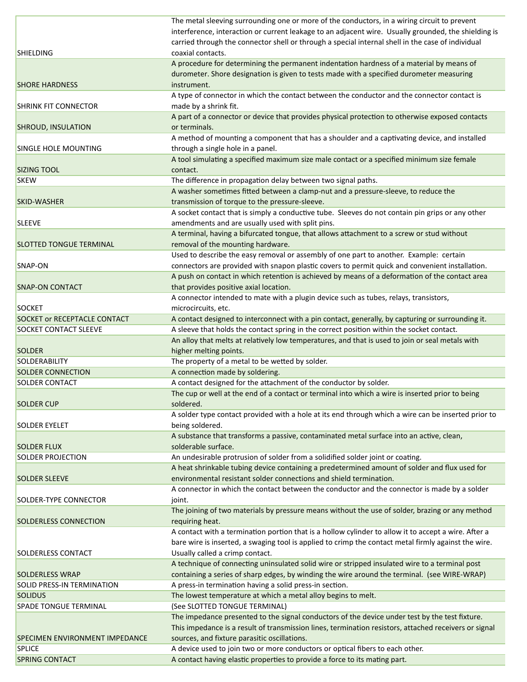|                                       | The metal sleeving surrounding one or more of the conductors, in a wiring circuit to prevent          |
|---------------------------------------|-------------------------------------------------------------------------------------------------------|
|                                       | interference, interaction or current leakage to an adjacent wire. Usually grounded, the shielding is  |
|                                       | carried through the connector shell or through a special internal shell in the case of individual     |
| <b>SHIELDING</b>                      | coaxial contacts.                                                                                     |
|                                       | A procedure for determining the permanent indentation hardness of a material by means of              |
|                                       | durometer. Shore designation is given to tests made with a specified durometer measuring              |
| <b>SHORE HARDNESS</b>                 | instrument.                                                                                           |
|                                       | A type of connector in which the contact between the conductor and the connector contact is           |
| <b>SHRINK FIT CONNECTOR</b>           | made by a shrink fit.                                                                                 |
|                                       | A part of a connector or device that provides physical protection to otherwise exposed contacts       |
| <b>SHROUD, INSULATION</b>             | or terminals.                                                                                         |
|                                       | A method of mounting a component that has a shoulder and a captivating device, and installed          |
| <b>SINGLE HOLE MOUNTING</b>           | through a single hole in a panel.                                                                     |
|                                       | A tool simulating a specified maximum size male contact or a specified minimum size female            |
| <b>SIZING TOOL</b>                    | contact.                                                                                              |
| <b>SKEW</b>                           | The difference in propagation delay between two signal paths.                                         |
|                                       | A washer sometimes fitted between a clamp-nut and a pressure-sleeve, to reduce the                    |
|                                       |                                                                                                       |
| <b>SKID-WASHER</b>                    | transmission of torque to the pressure-sleeve.                                                        |
|                                       | A socket contact that is simply a conductive tube. Sleeves do not contain pin grips or any other      |
| <b>SLEEVE</b>                         | amendments and are usually used with split pins.                                                      |
|                                       | A terminal, having a bifurcated tongue, that allows attachment to a screw or stud without             |
| <b>SLOTTED TONGUE TERMINAL</b>        | removal of the mounting hardware.                                                                     |
|                                       | Used to describe the easy removal or assembly of one part to another. Example: certain                |
| SNAP-ON                               | connectors are provided with snapon plastic covers to permit quick and convenient installation.       |
|                                       | A push on contact in which retention is achieved by means of a deformation of the contact area        |
| <b>SNAP-ON CONTACT</b>                | that provides positive axial location.                                                                |
|                                       | A connector intended to mate with a plugin device such as tubes, relays, transistors,                 |
| <b>SOCKET</b>                         | microcircuits, etc.                                                                                   |
| <b>SOCKET or RECEPTACLE CONTACT</b>   | A contact designed to interconnect with a pin contact, generally, by capturing or surrounding it.     |
| <b>SOCKET CONTACT SLEEVE</b>          | A sleeve that holds the contact spring in the correct position within the socket contact.             |
|                                       | An alloy that melts at relatively low temperatures, and that is used to join or seal metals with      |
| <b>SOLDER</b>                         | higher melting points.                                                                                |
| SOLDERABILITY                         | The property of a metal to be wetted by solder.                                                       |
| <b>SOLDER CONNECTION</b>              | A connection made by soldering.                                                                       |
| <b>SOLDER CONTACT</b>                 | A contact designed for the attachment of the conductor by solder.                                     |
|                                       | The cup or well at the end of a contact or terminal into which a wire is inserted prior to being      |
| <b>SOLDER CUP</b>                     | soldered.                                                                                             |
|                                       | A solder type contact provided with a hole at its end through which a wire can be inserted prior to   |
| <b>SOLDER EYELET</b>                  | being soldered.                                                                                       |
|                                       | A substance that transforms a passive, contaminated metal surface into an active, clean,              |
|                                       | solderable surface.                                                                                   |
| <b>SOLDER FLUX</b>                    |                                                                                                       |
| <b>SOLDER PROJECTION</b>              | An undesirable protrusion of solder from a solidified solder joint or coating.                        |
|                                       | A heat shrinkable tubing device containing a predetermined amount of solder and flux used for         |
| <b>SOLDER SLEEVE</b>                  | environmental resistant solder connections and shield termination.                                    |
|                                       | A connector in which the contact between the conductor and the connector is made by a solder          |
| <b>SOLDER-TYPE CONNECTOR</b>          | joint.                                                                                                |
|                                       | The joining of two materials by pressure means without the use of solder, brazing or any method       |
| SOLDERLESS CONNECTION                 | requiring heat.                                                                                       |
|                                       | A contact with a termination portion that is a hollow cylinder to allow it to accept a wire. After a  |
|                                       | bare wire is inserted, a swaging tool is applied to crimp the contact metal firmly against the wire.  |
| <b>SOLDERLESS CONTACT</b>             | Usually called a crimp contact.                                                                       |
|                                       | A technique of connecting uninsulated solid wire or stripped insulated wire to a terminal post        |
| <b>SOLDERLESS WRAP</b>                | containing a series of sharp edges, by winding the wire around the terminal. (see WIRE-WRAP)          |
| SOLID PRESS-IN TERMINATION            | A press-in termination having a solid press-in section.                                               |
| <b>SOLIDUS</b>                        | The lowest temperature at which a metal alloy begins to melt.                                         |
| <b>SPADE TONGUE TERMINAL</b>          | (See SLOTTED TONGUE TERMINAL)                                                                         |
|                                       | The impedance presented to the signal conductors of the device under test by the test fixture.        |
|                                       | This impedance is a result of transmission lines, termination resistors, attached receivers or signal |
| <b>SPECIMEN ENVIRONMENT IMPEDANCE</b> | sources, and fixture parasitic oscillations.                                                          |
| <b>SPLICE</b>                         |                                                                                                       |
|                                       | A device used to join two or more conductors or optical fibers to each other.                         |
| <b>SPRING CONTACT</b>                 | A contact having elastic properties to provide a force to its mating part.                            |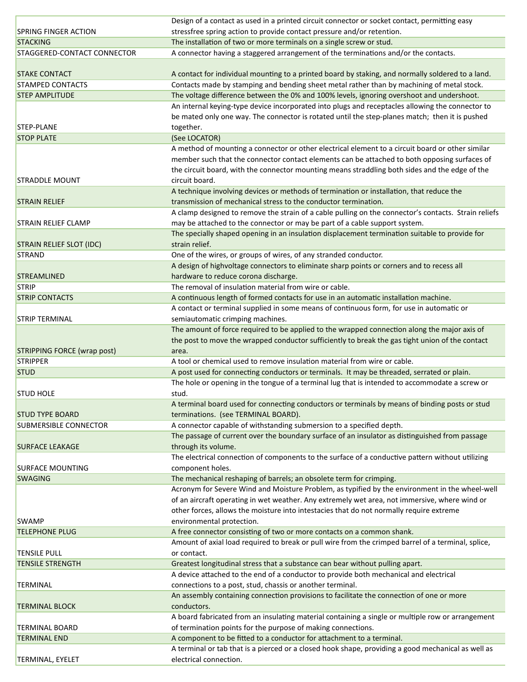|                                 | Design of a contact as used in a printed circuit connector or socket contact, permitting easy        |
|---------------------------------|------------------------------------------------------------------------------------------------------|
| <b>SPRING FINGER ACTION</b>     | stressfree spring action to provide contact pressure and/or retention.                               |
| <b>STACKING</b>                 | The installation of two or more terminals on a single screw or stud.                                 |
| STAGGERED-CONTACT CONNECTOR     | A connector having a staggered arrangement of the terminations and/or the contacts.                  |
|                                 |                                                                                                      |
| <b>STAKE CONTACT</b>            | A contact for individual mounting to a printed board by staking, and normally soldered to a land.    |
| <b>STAMPED CONTACTS</b>         | Contacts made by stamping and bending sheet metal rather than by machining of metal stock.           |
| <b>STEP AMPLITUDE</b>           | The voltage difference between the 0% and 100% levels, ignoring overshoot and undershoot.            |
|                                 | An internal keying-type device incorporated into plugs and receptacles allowing the connector to     |
|                                 | be mated only one way. The connector is rotated until the step-planes match; then it is pushed       |
| <b>STEP-PLANE</b>               | together.                                                                                            |
| <b>STOP PLATE</b>               | (See LOCATOR)                                                                                        |
|                                 | A method of mounting a connector or other electrical element to a circuit board or other similar     |
|                                 | member such that the connector contact elements can be attached to both opposing surfaces of         |
|                                 | the circuit board, with the connector mounting means straddling both sides and the edge of the       |
| <b>STRADDLE MOUNT</b>           | circuit board.                                                                                       |
|                                 | A technique involving devices or methods of termination or installation, that reduce the             |
| <b>STRAIN RELIEF</b>            | transmission of mechanical stress to the conductor termination.                                      |
|                                 | A clamp designed to remove the strain of a cable pulling on the connector's contacts. Strain reliefs |
| <b>STRAIN RELIEF CLAMP</b>      | may be attached to the connector or may be part of a cable support system.                           |
|                                 | The specially shaped opening in an insulation displacement termination suitable to provide for       |
| <b>STRAIN RELIEF SLOT (IDC)</b> | strain relief.                                                                                       |
| <b>STRAND</b>                   | One of the wires, or groups of wires, of any stranded conductor.                                     |
|                                 |                                                                                                      |
|                                 | A design of highvoltage connectors to eliminate sharp points or corners and to recess all            |
| <b>STREAMLINED</b>              | hardware to reduce corona discharge.                                                                 |
| <b>STRIP</b>                    | The removal of insulation material from wire or cable.                                               |
| <b>STRIP CONTACTS</b>           | A continuous length of formed contacts for use in an automatic installation machine.                 |
|                                 | A contact or terminal supplied in some means of continuous form, for use in automatic or             |
| <b>STRIP TERMINAL</b>           | semiautomatic crimping machines.                                                                     |
|                                 | The amount of force required to be applied to the wrapped connection along the major axis of         |
|                                 | the post to move the wrapped conductor sufficiently to break the gas tight union of the contact      |
| STRIPPING FORCE (wrap post)     | area.                                                                                                |
| <b>STRIPPER</b>                 | A tool or chemical used to remove insulation material from wire or cable.                            |
| <b>STUD</b>                     | A post used for connecting conductors or terminals. It may be threaded, serrated or plain.           |
|                                 | The hole or opening in the tongue of a terminal lug that is intended to accommodate a screw or       |
| <b>STUD HOLE</b>                | stud.                                                                                                |
|                                 | A terminal board used for connecting conductors or terminals by means of binding posts or stud       |
| <b>STUD TYPE BOARD</b>          | terminations. (see TERMINAL BOARD).                                                                  |
| <b>SUBMERSIBLE CONNECTOR</b>    | A connector capable of withstanding submersion to a specified depth.                                 |
|                                 | The passage of current over the boundary surface of an insulator as distinguished from passage       |
| <b>SURFACE LEAKAGE</b>          | through its volume.                                                                                  |
|                                 | The electrical connection of components to the surface of a conductive pattern without utilizing     |
| <b>SURFACE MOUNTING</b>         | component holes.                                                                                     |
| <b>SWAGING</b>                  | The mechanical reshaping of barrels; an obsolete term for crimping.                                  |
|                                 | Acronym for Severe Wind and Moisture Problem, as typified by the environment in the wheel-well       |
|                                 | of an aircraft operating in wet weather. Any extremely wet area, not immersive, where wind or        |
|                                 | other forces, allows the moisture into intestacies that do not normally require extreme              |
| <b>SWAMP</b>                    | environmental protection.                                                                            |
| <b>TELEPHONE PLUG</b>           | A free connector consisting of two or more contacts on a common shank.                               |
|                                 | Amount of axial load required to break or pull wire from the crimped barrel of a terminal, splice,   |
| <b>TENSILE PULL</b>             | or contact.                                                                                          |
| <b>TENSILE STRENGTH</b>         | Greatest longitudinal stress that a substance can bear without pulling apart.                        |
|                                 | A device attached to the end of a conductor to provide both mechanical and electrical                |
| <b>TERMINAL</b>                 | connections to a post, stud, chassis or another terminal.                                            |
|                                 | An assembly containing connection provisions to facilitate the connection of one or more             |
| <b>TERMINAL BLOCK</b>           | conductors.                                                                                          |
|                                 |                                                                                                      |
|                                 | A board fabricated from an insulating material containing a single or multiple row or arrangement    |
| <b>TERMINAL BOARD</b>           | of termination points for the purpose of making connections.                                         |
| <b>TERMINAL END</b>             | A component to be fitted to a conductor for attachment to a terminal.                                |
|                                 | A terminal or tab that is a pierced or a closed hook shape, providing a good mechanical as well as   |
| <b>TERMINAL, EYELET</b>         | electrical connection.                                                                               |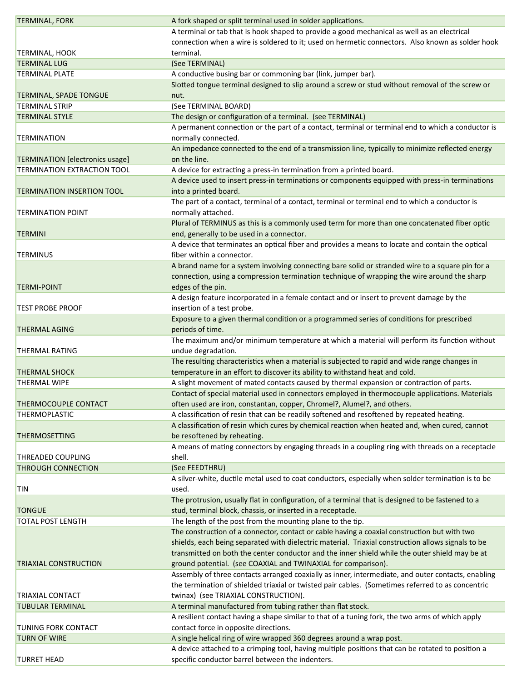| <b>TERMINAL, FORK</b>                  | A fork shaped or split terminal used in solder applications.                                       |
|----------------------------------------|----------------------------------------------------------------------------------------------------|
|                                        | A terminal or tab that is hook shaped to provide a good mechanical as well as an electrical        |
|                                        | connection when a wire is soldered to it; used on hermetic connectors. Also known as solder hook   |
| <b>TERMINAL, HOOK</b>                  | terminal.                                                                                          |
| <b>TERMINAL LUG</b>                    | (See TERMINAL)                                                                                     |
| <b>TERMINAL PLATE</b>                  | A conductive busing bar or commoning bar (link, jumper bar).                                       |
|                                        | Slotted tongue terminal designed to slip around a screw or stud without removal of the screw or    |
| <b>TERMINAL, SPADE TONGUE</b>          | nut.                                                                                               |
| <b>TERMINAL STRIP</b>                  | (See TERMINAL BOARD)                                                                               |
| <b>TERMINAL STYLE</b>                  | The design or configuration of a terminal. (see TERMINAL)                                          |
|                                        | A permanent connection or the part of a contact, terminal or terminal end to which a conductor is  |
|                                        |                                                                                                    |
| <b>TERMINATION</b>                     | normally connected.                                                                                |
|                                        | An impedance connected to the end of a transmission line, typically to minimize reflected energy   |
| <b>TERMINATION</b> [electronics usage] | on the line.                                                                                       |
| <b>TERMINATION EXTRACTION TOOL</b>     | A device for extracting a press-in termination from a printed board.                               |
|                                        | A device used to insert press-in terminations or components equipped with press-in terminations    |
| <b>TERMINATION INSERTION TOOL</b>      | into a printed board.                                                                              |
|                                        | The part of a contact, terminal of a contact, terminal or terminal end to which a conductor is     |
| <b>TERMINATION POINT</b>               | normally attached.                                                                                 |
|                                        | Plural of TERMINUS as this is a commonly used term for more than one concatenated fiber optic      |
| <b>TERMINI</b>                         | end, generally to be used in a connector.                                                          |
|                                        | A device that terminates an optical fiber and provides a means to locate and contain the optical   |
| <b>TERMINUS</b>                        | fiber within a connector.                                                                          |
|                                        | A brand name for a system involving connecting bare solid or stranded wire to a square pin for a   |
|                                        | connection, using a compression termination technique of wrapping the wire around the sharp        |
| <b>TERMI-POINT</b>                     | edges of the pin.                                                                                  |
|                                        |                                                                                                    |
|                                        | A design feature incorporated in a female contact and or insert to prevent damage by the           |
| <b>TEST PROBE PROOF</b>                | insertion of a test probe.                                                                         |
|                                        | Exposure to a given thermal condition or a programmed series of conditions for prescribed          |
| <b>THERMAL AGING</b>                   | periods of time.                                                                                   |
|                                        | The maximum and/or minimum temperature at which a material will perform its function without       |
| <b>THERMAL RATING</b>                  | undue degradation.                                                                                 |
|                                        | The resulting characteristics when a material is subjected to rapid and wide range changes in      |
| <b>THERMAL SHOCK</b>                   | temperature in an effort to discover its ability to withstand heat and cold.                       |
| <b>THERMAL WIPE</b>                    | A slight movement of mated contacts caused by thermal expansion or contraction of parts.           |
|                                        | Contact of special material used in connectors employed in thermocouple applications. Materials    |
| THERMOCOUPLE CONTACT                   | often used are iron, constantan, copper, Chromel?, Alumel?, and others.                            |
| <b>THERMOPLASTIC</b>                   | A classification of resin that can be readily softened and resoftened by repeated heating.         |
|                                        | A classification of resin which cures by chemical reaction when heated and, when cured, cannot     |
| <b>THERMOSETTING</b>                   | be resoftened by reheating.                                                                        |
|                                        | A means of mating connectors by engaging threads in a coupling ring with threads on a receptacle   |
| <b>THREADED COUPLING</b>               | shell.                                                                                             |
| <b>THROUGH CONNECTION</b>              | (See FEEDTHRU)                                                                                     |
|                                        | A silver-white, ductile metal used to coat conductors, especially when solder termination is to be |
|                                        |                                                                                                    |
| <b>TIN</b>                             | used.                                                                                              |
|                                        | The protrusion, usually flat in configuration, of a terminal that is designed to be fastened to a  |
| <b>TONGUE</b>                          | stud, terminal block, chassis, or inserted in a receptacle.                                        |
| <b>TOTAL POST LENGTH</b>               | The length of the post from the mounting plane to the tip.                                         |
|                                        | The construction of a connector, contact or cable having a coaxial construction but with two       |
|                                        | shields, each being separated with dielectric material. Triaxial construction allows signals to be |
|                                        | transmitted on both the center conductor and the inner shield while the outer shield may be at     |
| <b>TRIAXIAL CONSTRUCTION</b>           | ground potential. (see COAXIAL and TWINAXIAL for comparison).                                      |
|                                        | Assembly of three contacts arranged coaxially as inner, intermediate, and outer contacts, enabling |
|                                        | the termination of shielded triaxial or twisted pair cables. (Sometimes referred to as concentric  |
| <b>TRIAXIAL CONTACT</b>                | twinax) (see TRIAXIAL CONSTRUCTION).                                                               |
| <b>TUBULAR TERMINAL</b>                | A terminal manufactured from tubing rather than flat stock.                                        |
|                                        | A resilient contact having a shape similar to that of a tuning fork, the two arms of which apply   |
| <b>TUNING FORK CONTACT</b>             | contact force in opposite directions.                                                              |
| <b>TURN OF WIRE</b>                    | A single helical ring of wire wrapped 360 degrees around a wrap post.                              |
|                                        |                                                                                                    |
|                                        | A device attached to a crimping tool, having multiple positions that can be rotated to position a  |
| <b>TURRET HEAD</b>                     | specific conductor barrel between the indenters.                                                   |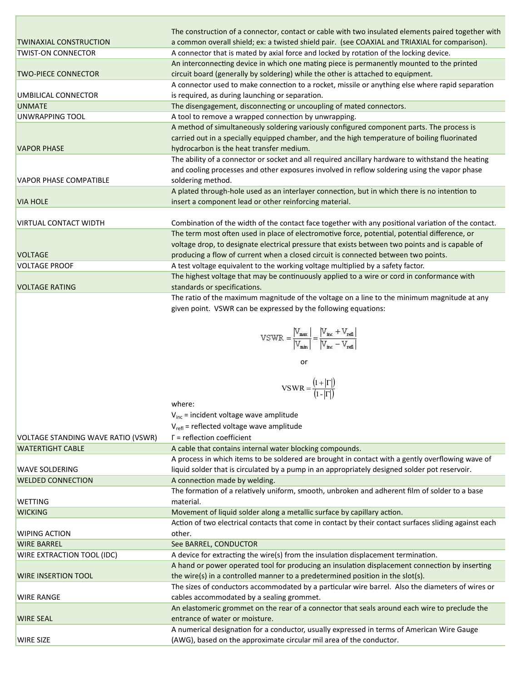|                               | The construction of a connector, contact or cable with two insulated elements paired together with  |
|-------------------------------|-----------------------------------------------------------------------------------------------------|
| <b>TWINAXIAL CONSTRUCTION</b> | a common overall shield; ex: a twisted shield pair. (see COAXIAL and TRIAXIAL for comparison).      |
| <b>TWIST-ON CONNECTOR</b>     | A connector that is mated by axial force and locked by rotation of the locking device.              |
|                               | An interconnecting device in which one mating piece is permanently mounted to the printed           |
| <b>TWO-PIECE CONNECTOR</b>    | circuit board (generally by soldering) while the other is attached to equipment.                    |
|                               | A connector used to make connection to a rocket, missile or anything else where rapid separation    |
| UMBILICAL CONNECTOR           | is required, as during launching or separation.                                                     |
| <b>UNMATE</b>                 | The disengagement, disconnecting or uncoupling of mated connectors.                                 |
| <b>UNWRAPPING TOOL</b>        | A tool to remove a wrapped connection by unwrapping.                                                |
|                               | A method of simultaneously soldering variously configured component parts. The process is           |
|                               | carried out in a specially equipped chamber, and the high temperature of boiling fluorinated        |
| <b>VAPOR PHASE</b>            | hydrocarbon is the heat transfer medium.                                                            |
|                               | The ability of a connector or socket and all required ancillary hardware to withstand the heating   |
|                               | and cooling processes and other exposures involved in reflow soldering using the vapor phase        |
| <b>VAPOR PHASE COMPATIBLE</b> | soldering method.                                                                                   |
|                               | A plated through-hole used as an interlayer connection, but in which there is no intention to       |
| <b>VIA HOLE</b>               | insert a component lead or other reinforcing material.                                              |
|                               |                                                                                                     |
| <b>VIRTUAL CONTACT WIDTH</b>  | Combination of the width of the contact face together with any positional variation of the contact. |
|                               | The term most often used in place of electromotive force, potential, potential difference, or       |
|                               | voltage drop, to designate electrical pressure that exists between two points and is capable of     |
| <b>VOLTAGE</b>                | producing a flow of current when a closed circuit is connected between two points.                  |
| <b>VOLTAGE PROOF</b>          | A test voltage equivalent to the working voltage multiplied by a safety factor.                     |
|                               | The highest voltage that may be continuously applied to a wire or cord in conformance with          |
| <b>VOLTAGE RATING</b>         | standards or specifications.                                                                        |
|                               | The ratio of the maximum magnitude of the voltage on a line to the minimum magnitude at any         |

e ratio of the maximum magnitude of the voltage on a line to the minimum magnitude at a given point. VSWR can be expressed by the following equations:

$$
VSWR = \frac{|V_{\text{max}}|}{|V_{\text{min}}|} = \frac{|V_{\text{inc}} + V_{\text{ref}}|}{|V_{\text{inc}} - V_{\text{ref}}|}
$$

**or** *contract to the state of the state of the state of the state of the state of the state of the state of the state of the state of the state of the state of the state of the state of the state of the state of the state* 

$$
VSWR=\frac{\left(1+\left|\Gamma\right|\right)}{\left(1-\left|\Gamma\right|\right)}
$$

where:

 $V_{inc}$  = incident voltage wave amplitude

 $V_{refl}$  = reflected voltage wave amplitude

| VOLIAUL STANDINU WAVE IVATIO (VSWIN) | $1 - 1$ CHCCLION COCHICICIT                                                                           |
|--------------------------------------|-------------------------------------------------------------------------------------------------------|
| <b>WATERTIGHT CABLE</b>              | A cable that contains internal water blocking compounds.                                              |
|                                      | A process in which items to be soldered are brought in contact with a gently overflowing wave of      |
| <b>WAVE SOLDERING</b>                | liquid solder that is circulated by a pump in an appropriately designed solder pot reservoir.         |
| <b>WELDED CONNECTION</b>             | A connection made by welding.                                                                         |
|                                      | The formation of a relatively uniform, smooth, unbroken and adherent film of solder to a base         |
| <b>WETTING</b>                       | material.                                                                                             |
| <b>WICKING</b>                       | Movement of liquid solder along a metallic surface by capillary action.                               |
|                                      | Action of two electrical contacts that come in contact by their contact surfaces sliding against each |
| <b>WIPING ACTION</b>                 | other.                                                                                                |
| <b>WIRE BARREL</b>                   | See BARREL, CONDUCTOR                                                                                 |
| <b>WIRE EXTRACTION TOOL (IDC)</b>    | A device for extracting the wire(s) from the insulation displacement termination.                     |
|                                      | A hand or power operated tool for producing an insulation displacement connection by inserting        |
| <b>WIRE INSERTION TOOL</b>           | the wire(s) in a controlled manner to a predetermined position in the slot(s).                        |
|                                      | The sizes of conductors accommodated by a particular wire barrel. Also the diameters of wires or      |
| <b>WIRE RANGE</b>                    | cables accommodated by a sealing grommet.                                                             |
|                                      | An elastomeric grommet on the rear of a connector that seals around each wire to preclude the         |
| <b>WIRE SEAL</b>                     | entrance of water or moisture.                                                                        |
|                                      | A numerical designation for a conductor, usually expressed in terms of American Wire Gauge            |
| <b>WIRE SIZE</b>                     | (AWG), based on the approximate circular mil area of the conductor.                                   |
|                                      |                                                                                                       |